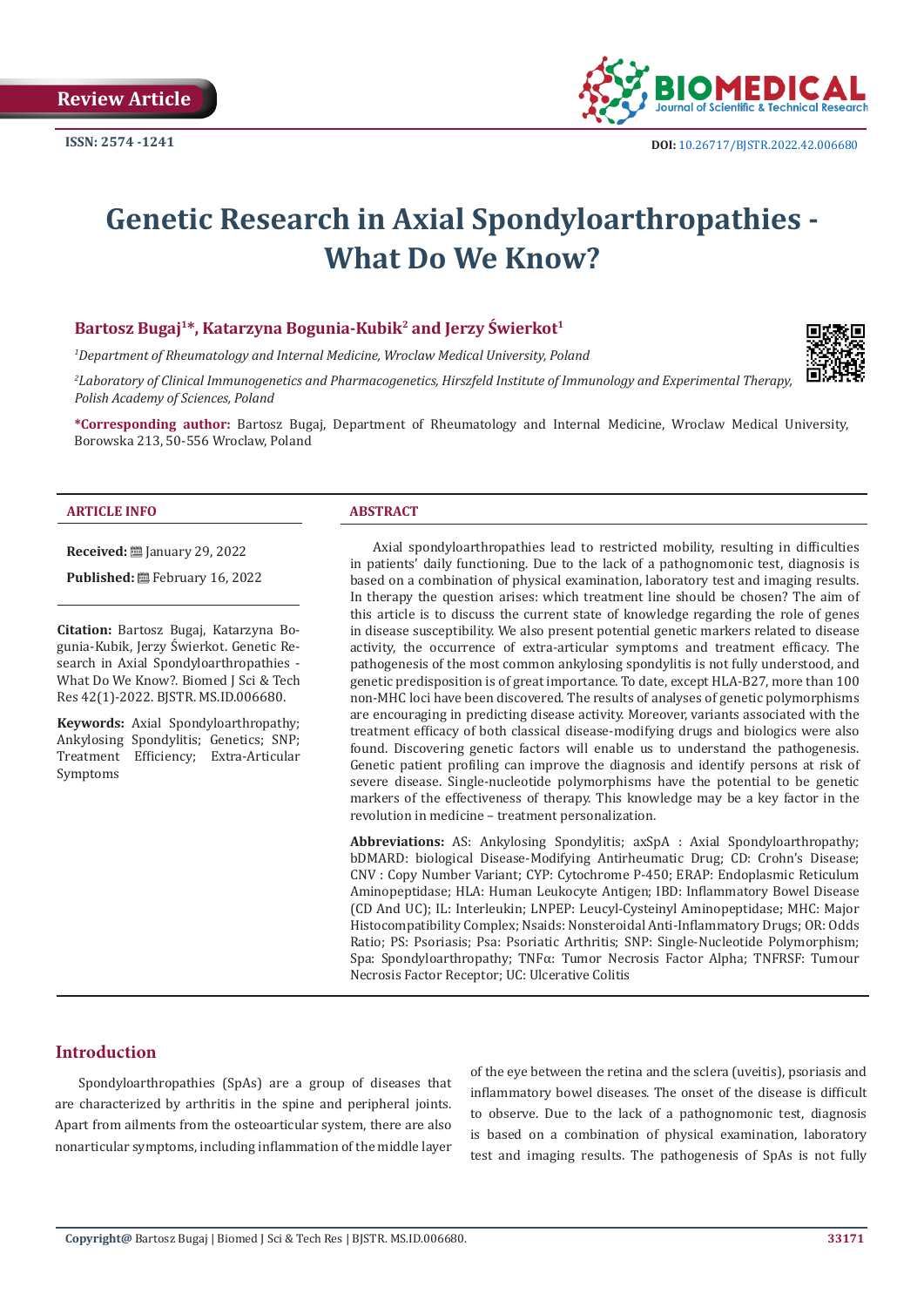

# **Genetic Research in Axial Spondyloarthropathies - What Do We Know?**

### **Bartosz Bugaj1\*, Katarzyna Bogunia-Kubik2 and Jerzy Świerkot<sup>1</sup>**

*1 Department of Rheumatology and Internal Medicine, Wroclaw Medical University, Poland*

*2 Laboratory of Clinical Immunogenetics and Pharmacogenetics, Hirszfeld Institute of Immunology and Experimental Therapy, Polish Academy of Sciences, Poland*

**\*Corresponding author:** Bartosz Bugaj, Department of Rheumatology and Internal Medicine, Wroclaw Medical University, Borowska 213, 50-556 Wroclaw, Poland

#### **ARTICLE INFO ABSTRACT**

**Received:** January 29, 2022

Published: **曲 February 16, 2022** 

**Citation:** Bartosz Bugaj, Katarzyna Bogunia-Kubik, Jerzy Świerkot. Genetic Research in Axial Spondyloarthropathies - What Do We Know?. Biomed I Sci & Tech Res 42(1)-2022. BJSTR. MS.ID.006680.

**Keywords:** Axial Spondyloarthropathy; Ankylosing Spondylitis; Genetics; SNP; Treatment Efficiency; Extra-Articular Symptoms

Axial spondyloarthropathies lead to restricted mobility, resulting in difficulties in patients' daily functioning. Due to the lack of a pathognomonic test, diagnosis is based on a combination of physical examination, laboratory test and imaging results. In therapy the question arises: which treatment line should be chosen? The aim of this article is to discuss the current state of knowledge regarding the role of genes in disease susceptibility. We also present potential genetic markers related to disease activity, the occurrence of extra-articular symptoms and treatment efficacy. The pathogenesis of the most common ankylosing spondylitis is not fully understood, and genetic predisposition is of great importance. To date, except HLA-B27, more than 100 non-MHC loci have been discovered. The results of analyses of genetic polymorphisms are encouraging in predicting disease activity. Moreover, variants associated with the treatment efficacy of both classical disease-modifying drugs and biologics were also found. Discovering genetic factors will enable us to understand the pathogenesis. Genetic patient profiling can improve the diagnosis and identify persons at risk of severe disease. Single-nucleotide polymorphisms have the potential to be genetic markers of the effectiveness of therapy. This knowledge may be a key factor in the revolution in medicine – treatment personalization.

**Abbreviations:** AS: Ankylosing Spondylitis; axSpA : Axial Spondyloarthropathy; bDMARD: biological Disease-Modifying Antirheumatic Drug; CD: Crohn's Disease; CNV : Copy Number Variant; CYP: Cytochrome P-450; ERAP: Endoplasmic Reticulum Aminopeptidase; HLA: Human Leukocyte Antigen; IBD: Inflammatory Bowel Disease (CD And UC); IL: Interleukin; LNPEP: Leucyl-Cysteinyl Aminopeptidase; MHC: Major Histocompatibility Complex; Nsaids: Nonsteroidal Anti-Inflammatory Drugs; OR: Odds Ratio; PS: Psoriasis; Psa: Psoriatic Arthritis; SNP: Single-Nucleotide Polymorphism; Spa: Spondyloarthropathy; TNFα: Tumor Necrosis Factor Alpha; TNFRSF: Tumour Necrosis Factor Receptor; UC: Ulcerative Colitis

# **Introduction**

Spondyloarthropathies (SpAs) are a group of diseases that are characterized by arthritis in the spine and peripheral joints. Apart from ailments from the osteoarticular system, there are also nonarticular symptoms, including inflammation of the middle layer

of the eye between the retina and the sclera (uveitis), psoriasis and inflammatory bowel diseases. The onset of the disease is difficult to observe. Due to the lack of a pathognomonic test, diagnosis is based on a combination of physical examination, laboratory test and imaging results. The pathogenesis of SpAs is not fully

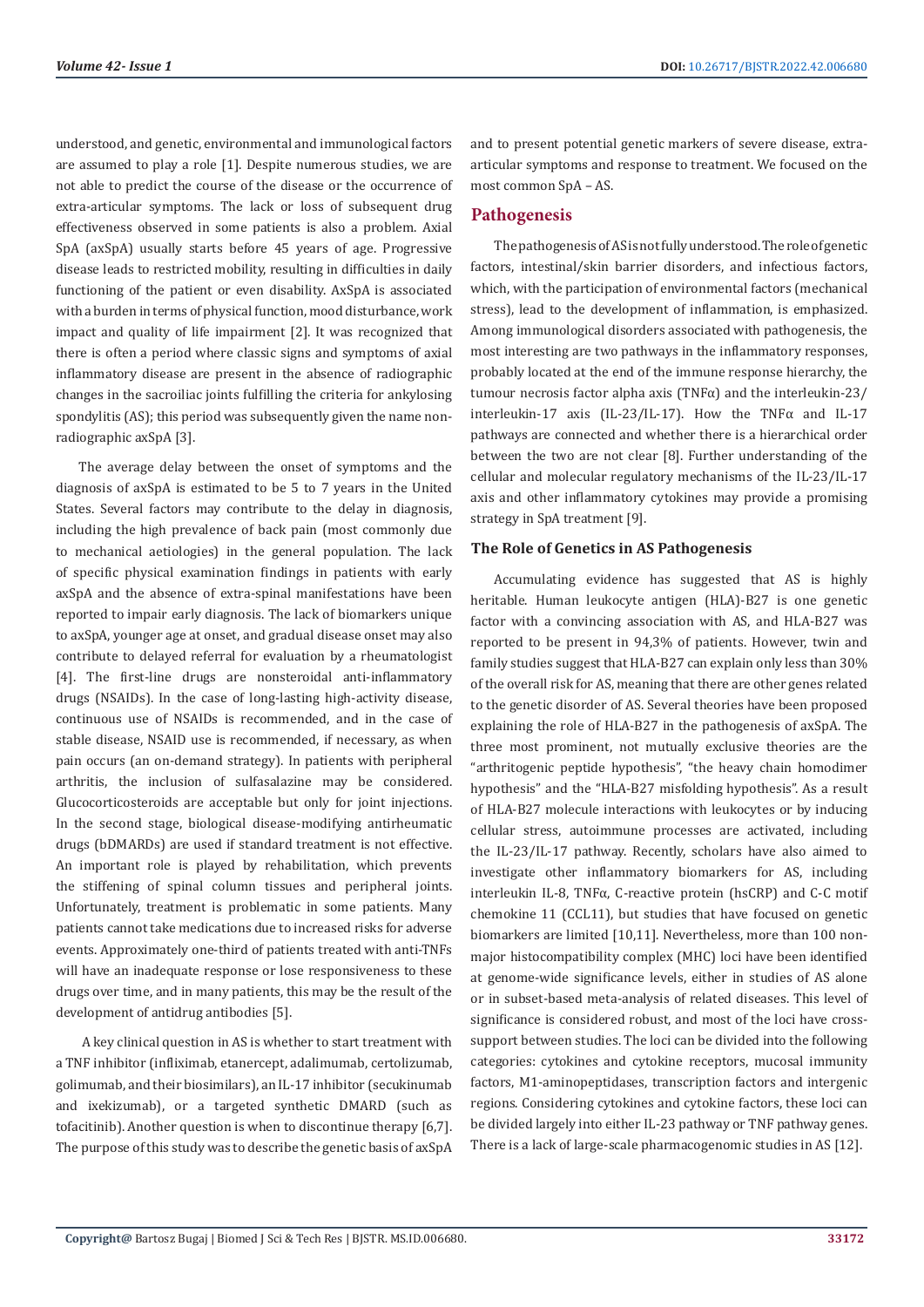understood, and genetic, environmental and immunological factors are assumed to play a role [1]. Despite numerous studies, we are not able to predict the course of the disease or the occurrence of extra-articular symptoms. The lack or loss of subsequent drug effectiveness observed in some patients is also a problem. Axial SpA (axSpA) usually starts before 45 years of age. Progressive disease leads to restricted mobility, resulting in difficulties in daily functioning of the patient or even disability. AxSpA is associated with a burden in terms of physical function, mood disturbance, work impact and quality of life impairment [2]. It was recognized that there is often a period where classic signs and symptoms of axial inflammatory disease are present in the absence of radiographic changes in the sacroiliac joints fulfilling the criteria for ankylosing spondylitis (AS); this period was subsequently given the name nonradiographic axSpA [3].

The average delay between the onset of symptoms and the diagnosis of axSpA is estimated to be 5 to 7 years in the United States. Several factors may contribute to the delay in diagnosis, including the high prevalence of back pain (most commonly due to mechanical aetiologies) in the general population. The lack of specific physical examination findings in patients with early axSpA and the absence of extra-spinal manifestations have been reported to impair early diagnosis. The lack of biomarkers unique to axSpA, younger age at onset, and gradual disease onset may also contribute to delayed referral for evaluation by a rheumatologist [4]. The first-line drugs are nonsteroidal anti-inflammatory drugs (NSAIDs). In the case of long-lasting high-activity disease, continuous use of NSAIDs is recommended, and in the case of stable disease, NSAID use is recommended, if necessary, as when pain occurs (an on-demand strategy). In patients with peripheral arthritis, the inclusion of sulfasalazine may be considered. Glucocorticosteroids are acceptable but only for joint injections. In the second stage, biological disease-modifying antirheumatic drugs (bDMARDs) are used if standard treatment is not effective. An important role is played by rehabilitation, which prevents the stiffening of spinal column tissues and peripheral joints. Unfortunately, treatment is problematic in some patients. Many patients cannot take medications due to increased risks for adverse events. Approximately one-third of patients treated with anti-TNFs will have an inadequate response or lose responsiveness to these drugs over time, and in many patients, this may be the result of the development of antidrug antibodies [5].

 A key clinical question in AS is whether to start treatment with a TNF inhibitor (infliximab, etanercept, adalimumab, certolizumab, golimumab, and their biosimilars), an IL-17 inhibitor (secukinumab and ixekizumab), or a targeted synthetic DMARD (such as tofacitinib). Another question is when to discontinue therapy [6,7]. The purpose of this study was to describe the genetic basis of axSpA

and to present potential genetic markers of severe disease, extraarticular symptoms and response to treatment. We focused on the most common SpA – AS.

# **Pathogenesis**

The pathogenesis of AS is not fully understood. The role of genetic factors, intestinal/skin barrier disorders, and infectious factors, which, with the participation of environmental factors (mechanical stress), lead to the development of inflammation, is emphasized. Among immunological disorders associated with pathogenesis, the most interesting are two pathways in the inflammatory responses, probably located at the end of the immune response hierarchy, the tumour necrosis factor alpha axis (TNFα) and the interleukin-23/ interleukin-17 axis (IL-23/IL-17). How the TNFα and IL-17 pathways are connected and whether there is a hierarchical order between the two are not clear [8]. Further understanding of the cellular and molecular regulatory mechanisms of the IL-23/IL-17 axis and other inflammatory cytokines may provide a promising strategy in SpA treatment [9].

### **The Role of Genetics in AS Pathogenesis**

Accumulating evidence has suggested that AS is highly heritable. Human leukocyte antigen (HLA)-B27 is one genetic factor with a convincing association with AS, and HLA-B27 was reported to be present in 94,3% of patients. However, twin and family studies suggest that HLA-B27 can explain only less than 30% of the overall risk for AS, meaning that there are other genes related to the genetic disorder of AS. Several theories have been proposed explaining the role of HLA-B27 in the pathogenesis of axSpA. The three most prominent, not mutually exclusive theories are the "arthritogenic peptide hypothesis", "the heavy chain homodimer hypothesis" and the "HLA-B27 misfolding hypothesis". As a result of HLA-B27 molecule interactions with leukocytes or by inducing cellular stress, autoimmune processes are activated, including the IL-23/IL-17 pathway. Recently, scholars have also aimed to investigate other inflammatory biomarkers for AS, including interleukin IL-8, TNFα, C-reactive protein (hsCRP) and C-C motif chemokine 11 (CCL11), but studies that have focused on genetic biomarkers are limited [10,11]. Nevertheless, more than 100 nonmajor histocompatibility complex (MHC) loci have been identified at genome-wide significance levels, either in studies of AS alone or in subset-based meta-analysis of related diseases. This level of significance is considered robust, and most of the loci have crosssupport between studies. The loci can be divided into the following categories: cytokines and cytokine receptors, mucosal immunity factors, M1-aminopeptidases, transcription factors and intergenic regions. Considering cytokines and cytokine factors, these loci can be divided largely into either IL-23 pathway or TNF pathway genes. There is a lack of large-scale pharmacogenomic studies in AS [12].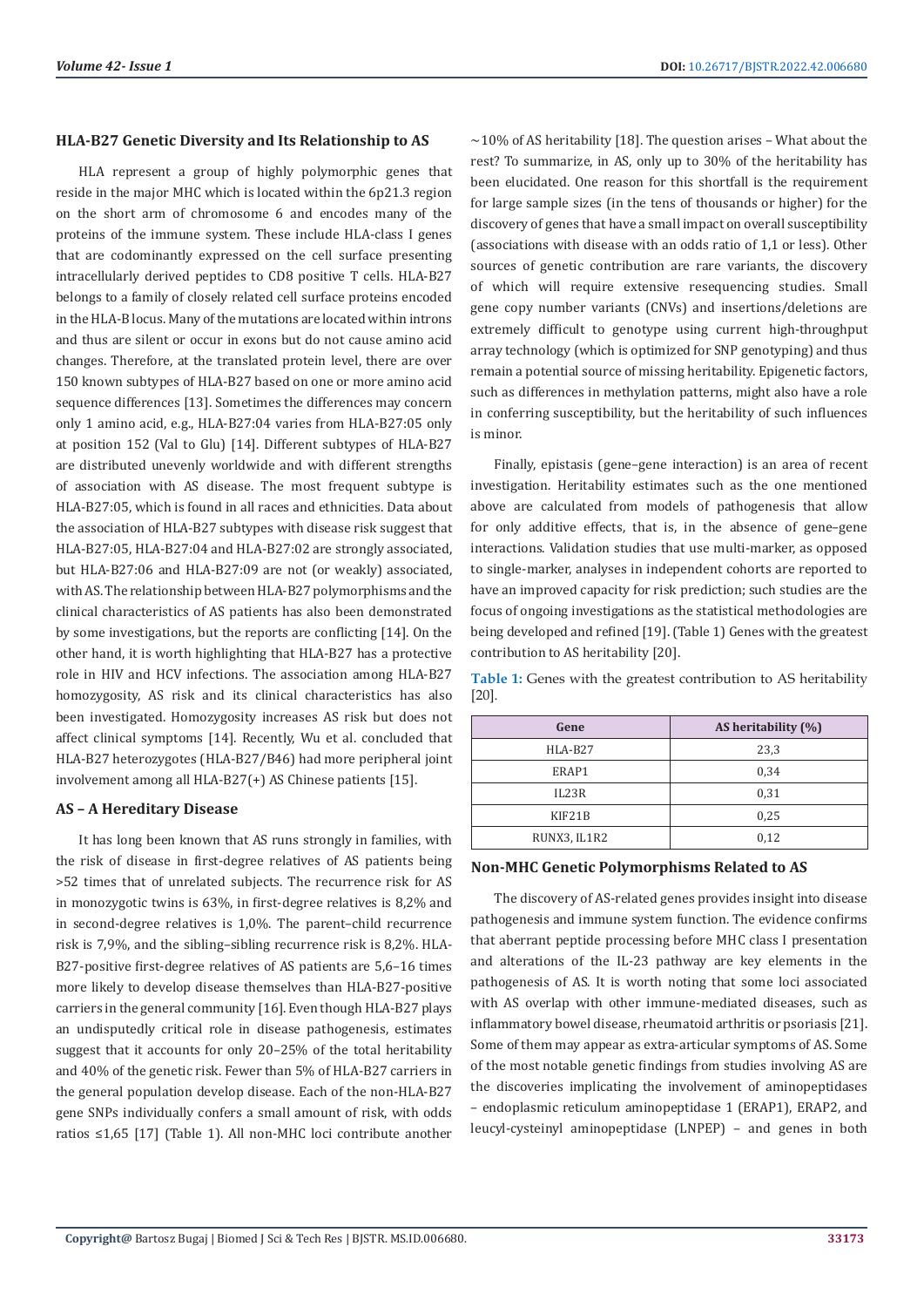#### **HLA-B27 Genetic Diversity and Its Relationship to AS**

HLA represent a group of highly polymorphic genes that reside in the major MHC which is located within the 6p21.3 region on the short arm of chromosome 6 and encodes many of the proteins of the immune system. These include HLA-class I genes that are codominantly expressed on the cell surface presenting intracellularly derived peptides to CD8 positive T cells. HLA-B27 belongs to a family of closely related cell surface proteins encoded in the HLA-B locus. Many of the mutations are located within introns and thus are silent or occur in exons but do not cause amino acid changes. Therefore, at the translated protein level, there are over 150 known subtypes of HLA-B27 based on one or more amino acid sequence differences [13]. Sometimes the differences may concern only 1 amino acid, e.g., HLA-B27:04 varies from HLA-B27:05 only at position 152 (Val to Glu) [14]. Different subtypes of HLA-B27 are distributed unevenly worldwide and with different strengths of association with AS disease. The most frequent subtype is HLA-B27:05, which is found in all races and ethnicities. Data about the association of HLA-B27 subtypes with disease risk suggest that HLA-B27:05, HLA-B27:04 and HLA-B27:02 are strongly associated, but HLA-B27:06 and HLA-B27:09 are not (or weakly) associated, with AS. The relationship between HLA-B27 polymorphisms and the clinical characteristics of AS patients has also been demonstrated by some investigations, but the reports are conflicting [14]. On the other hand, it is worth highlighting that HLA-B27 has a protective role in HIV and HCV infections. The association among HLA-B27 homozygosity, AS risk and its clinical characteristics has also been investigated. Homozygosity increases AS risk but does not affect clinical symptoms [14]. Recently, Wu et al. concluded that HLA-B27 heterozygotes (HLA-B27/B46) had more peripheral joint involvement among all HLA-B27(+) AS Chinese patients [15].

#### **AS – A Hereditary Disease**

It has long been known that AS runs strongly in families, with the risk of disease in first-degree relatives of AS patients being >52 times that of unrelated subjects. The recurrence risk for AS in monozygotic twins is 63%, in first-degree relatives is 8,2% and in second-degree relatives is 1,0%. The parent–child recurrence risk is 7,9%, and the sibling–sibling recurrence risk is 8,2%. HLA-B27-positive first-degree relatives of AS patients are 5,6–16 times more likely to develop disease themselves than HLA-B27-positive carriers in the general community [16]. Even though HLA-B27 plays an undisputedly critical role in disease pathogenesis, estimates suggest that it accounts for only 20–25% of the total heritability and 40% of the genetic risk. Fewer than 5% of HLA-B27 carriers in the general population develop disease. Each of the non-HLA-B27 gene SNPs individually confers a small amount of risk, with odds ratios ≤1,65 [17] (Table 1). All non-MHC loci contribute another

 $\sim$ 10% of AS heritability [18]. The question arises - What about the rest? To summarize, in AS, only up to 30% of the heritability has been elucidated. One reason for this shortfall is the requirement for large sample sizes (in the tens of thousands or higher) for the discovery of genes that have a small impact on overall susceptibility (associations with disease with an odds ratio of 1,1 or less). Other sources of genetic contribution are rare variants, the discovery of which will require extensive resequencing studies. Small gene copy number variants (CNVs) and insertions/deletions are extremely difficult to genotype using current high-throughput array technology (which is optimized for SNP genotyping) and thus remain a potential source of missing heritability. Epigenetic factors, such as differences in methylation patterns, might also have a role in conferring susceptibility, but the heritability of such influences is minor.

Finally, epistasis (gene–gene interaction) is an area of recent investigation. Heritability estimates such as the one mentioned above are calculated from models of pathogenesis that allow for only additive effects, that is, in the absence of gene–gene interactions. Validation studies that use multi-marker, as opposed to single-marker, analyses in independent cohorts are reported to have an improved capacity for risk prediction; such studies are the focus of ongoing investigations as the statistical methodologies are being developed and refined [19]. (Table 1) Genes with the greatest contribution to AS heritability [20].

**Table 1:** Genes with the greatest contribution to AS heritability [20].

| Gene         | AS heritability (%) |
|--------------|---------------------|
| $HLA-B27$    | 23,3                |
| ERAP1        | 0,34                |
| IL23R        | 0,31                |
| KIF21B       | 0,25                |
| RUNX3, IL1R2 | 0,12                |

#### **Non-MHC Genetic Polymorphisms Related to AS**

The discovery of AS-related genes provides insight into disease pathogenesis and immune system function. The evidence confirms that aberrant peptide processing before MHC class I presentation and alterations of the IL-23 pathway are key elements in the pathogenesis of AS. It is worth noting that some loci associated with AS overlap with other immune-mediated diseases, such as inflammatory bowel disease, rheumatoid arthritis or psoriasis [21]. Some of them may appear as extra-articular symptoms of AS. Some of the most notable genetic findings from studies involving AS are the discoveries implicating the involvement of aminopeptidases – endoplasmic reticulum aminopeptidase 1 (ERAP1), ERAP2, and leucyl-cysteinyl aminopeptidase (LNPEP) – and genes in both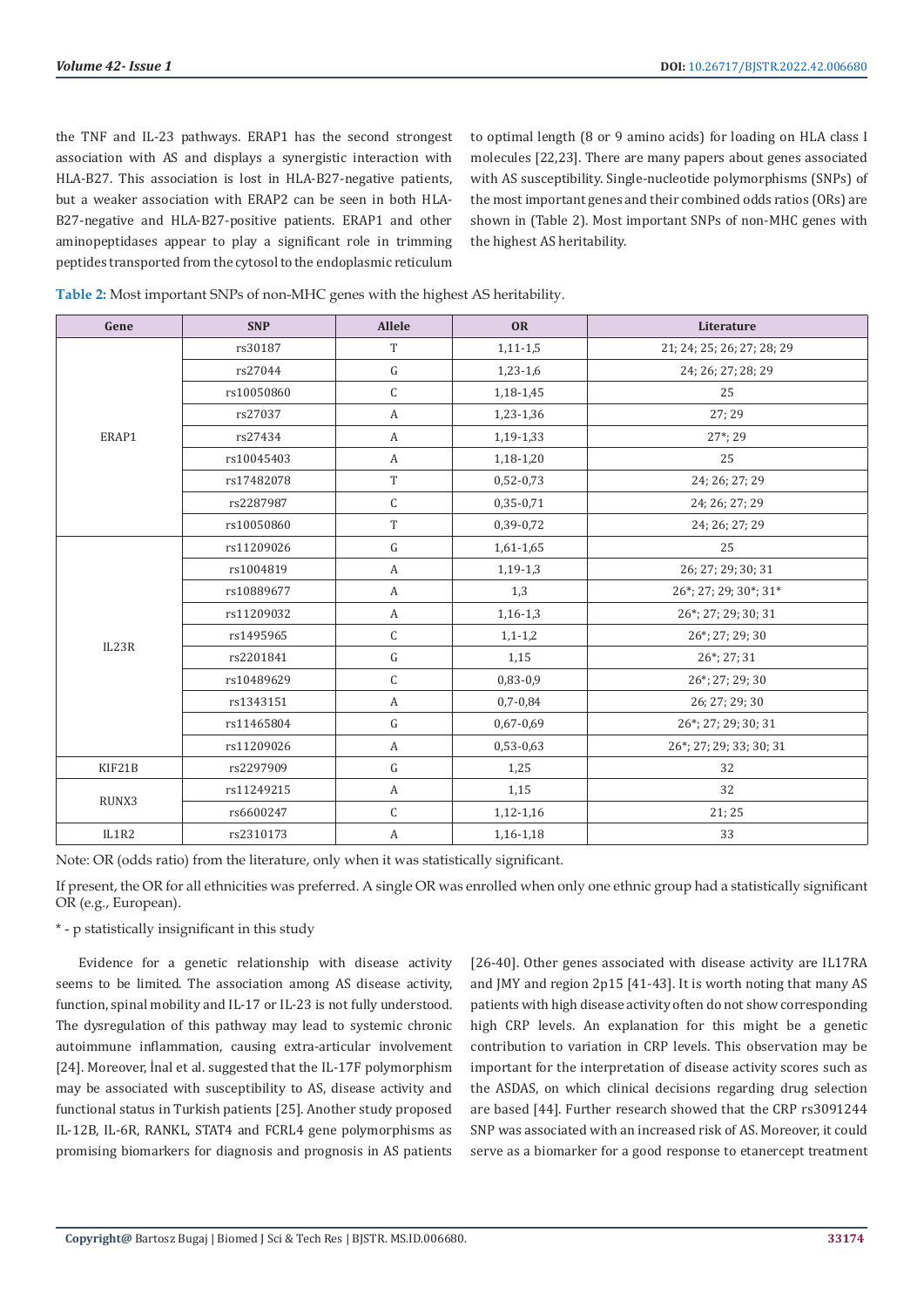the TNF and IL-23 pathways. ERAP1 has the second strongest association with AS and displays a synergistic interaction with HLA-B27. This association is lost in HLA-B27-negative patients, but a weaker association with ERAP2 can be seen in both HLA-B27-negative and HLA-B27-positive patients. ERAP1 and other aminopeptidases appear to play a significant role in trimming peptides transported from the cytosol to the endoplasmic reticulum

to optimal length (8 or 9 amino acids) for loading on HLA class I molecules [22,23]. There are many papers about genes associated with AS susceptibility. Single-nucleotide polymorphisms (SNPs) of the most important genes and their combined odds ratios (ORs) are shown in (Table 2). Most important SNPs of non-MHC genes with the highest AS heritability.

| Gene   | <b>SNP</b> | Allele           | <b>OR</b>   | Literature                 |
|--------|------------|------------------|-------------|----------------------------|
|        | rs30187    | $\mathbf T$      | $1,11-1,5$  | 21; 24; 25; 26; 27; 28; 29 |
|        | rs27044    | ${\bf G}$        | $1,23-1,6$  | 24; 26; 27; 28; 29         |
|        | rs10050860 | $\mathsf C$      | 1,18-1,45   | 25                         |
|        | rs27037    | A                | 1,23-1,36   | 27:29                      |
| ERAP1  | rs27434    | A                | 1,19-1,33   | $27^*$ ; 29                |
|        | rs10045403 | $\boldsymbol{A}$ | 1,18-1,20   | 25                         |
|        | rs17482078 | $\mathbf T$      | $0,52-0,73$ | 24; 26; 27; 29             |
|        | rs2287987  | $\mathsf C$      | $0,35-0,71$ | 24; 26; 27; 29             |
|        | rs10050860 | $\rm T$          | 0,39-0,72   | 24; 26; 27; 29             |
| IL23R  | rs11209026 | ${\bf G}$        | $1,61-1,65$ | 25                         |
|        | rs1004819  | $\boldsymbol{A}$ | $1,19-1,3$  | 26; 27; 29; 30; 31         |
|        | rs10889677 | A                | 1,3         | 26*; 27; 29; 30*; 31*      |
|        | rs11209032 | A                | $1,16-1,3$  | 26*; 27; 29; 30; 31        |
|        | rs1495965  | $\mathsf C$      | $1,1-1,2$   | 26*; 27; 29; 30            |
|        | rs2201841  | ${\bf G}$        | 1,15        | 26*; 27; 31                |
|        | rs10489629 | $\mathsf C$      | 0,83-0,9    | 26*; 27; 29; 30            |
|        | rs1343151  | A                | $0,7-0,84$  | 26; 27; 29; 30             |
|        | rs11465804 | ${\bf G}$        | $0,67-0,69$ | 26*; 27; 29; 30; 31        |
|        | rs11209026 | A                | $0,53-0,63$ | 26*; 27; 29; 33; 30; 31    |
| KIF21B | rs2297909  | ${\rm G}$        | 1,25        | 32                         |
| RUNX3  | rs11249215 | A                | 1,15        | 32                         |
|        | rs6600247  | $\mathsf C$      | $1,12-1,16$ | 21; 25                     |
| IL1R2  | rs2310173  | A                | 1,16-1,18   | 33                         |

Note: OR (odds ratio) from the literature, only when it was statistically significant.

If present, the OR for all ethnicities was preferred. A single OR was enrolled when only one ethnic group had a statistically significant OR (e.g., European).

\* - p statistically insignificant in this study

Evidence for a genetic relationship with disease activity seems to be limited. The association among AS disease activity, function, spinal mobility and IL-17 or IL-23 is not fully understood. The dysregulation of this pathway may lead to systemic chronic autoimmune inflammation, causing extra-articular involvement [24]. Moreover, İnal et al. suggested that the IL-17F polymorphism may be associated with susceptibility to AS, disease activity and functional status in Turkish patients [25]. Another study proposed IL-12B, IL-6R, RANKL, STAT4 and FCRL4 gene polymorphisms as promising biomarkers for diagnosis and prognosis in AS patients

[26-40]. Other genes associated with disease activity are IL17RA and JMY and region 2p15 [41-43]. It is worth noting that many AS patients with high disease activity often do not show corresponding high CRP levels. An explanation for this might be a genetic contribution to variation in CRP levels. This observation may be important for the interpretation of disease activity scores such as the ASDAS, on which clinical decisions regarding drug selection are based [44]. Further research showed that the CRP rs3091244 SNP was associated with an increased risk of AS. Moreover, it could serve as a biomarker for a good response to etanercept treatment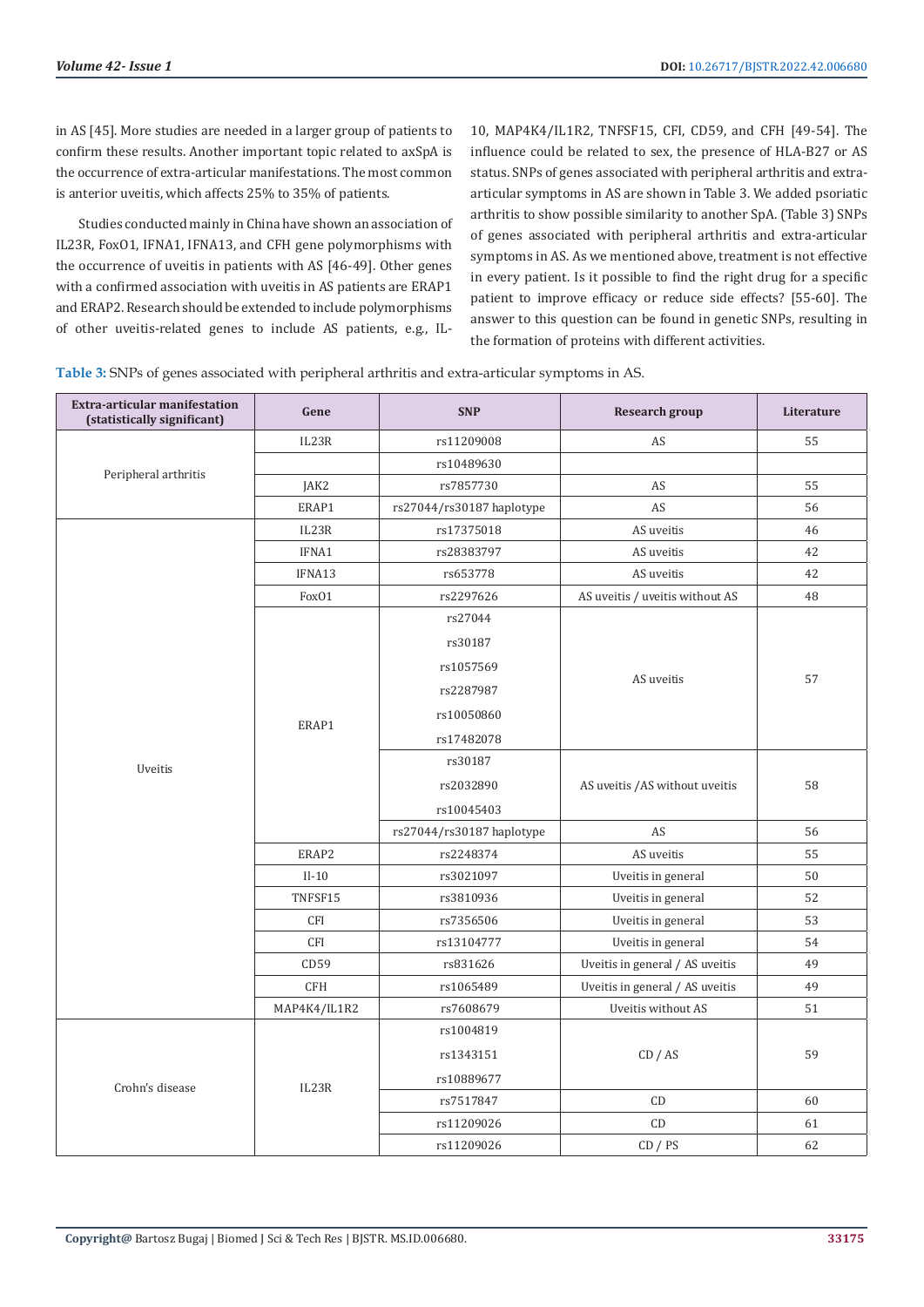in AS [45]. More studies are needed in a larger group of patients to confirm these results. Another important topic related to axSpA is the occurrence of extra-articular manifestations. The most common is anterior uveitis, which affects 25% to 35% of patients.

Studies conducted mainly in China have shown an association of IL23R, FoxO1, IFNA1, IFNA13, and CFH gene polymorphisms with the occurrence of uveitis in patients with AS [46-49]. Other genes with a confirmed association with uveitis in AS patients are ERAP1 and ERAP2. Research should be extended to include polymorphisms of other uveitis-related genes to include AS patients, e.g., IL-

10, MAP4K4/IL1R2, TNFSF15, CFI, CD59, and CFH [49-54]. The influence could be related to sex, the presence of HLA-B27 or AS status. SNPs of genes associated with peripheral arthritis and extraarticular symptoms in AS are shown in Table 3. We added psoriatic arthritis to show possible similarity to another SpA. (Table 3) SNPs of genes associated with peripheral arthritis and extra-articular symptoms in AS. As we mentioned above, treatment is not effective in every patient. Is it possible to find the right drug for a specific patient to improve efficacy or reduce side effects? [55-60]. The answer to this question can be found in genetic SNPs, resulting in the formation of proteins with different activities.

| Table 3: SNPs of genes associated with peripheral arthritis and extra-articular symptoms in AS. |
|-------------------------------------------------------------------------------------------------|
|-------------------------------------------------------------------------------------------------|

| Extra-articular manifestation<br>(statistically significant) | Gene              | <b>SNP</b>                | Research group                  | Literature |
|--------------------------------------------------------------|-------------------|---------------------------|---------------------------------|------------|
|                                                              | IL23R             | rs11209008                | AS                              | 55         |
| Peripheral arthritis                                         |                   | rs10489630                |                                 |            |
|                                                              | JAK2              | rs7857730                 | AS                              | 55         |
|                                                              | ERAP1             | rs27044/rs30187 haplotype | AS                              | 56         |
|                                                              | IL23R             | rs17375018                | AS uveitis                      | 46         |
|                                                              | IFNA1             | rs28383797                | AS uveitis                      | 42         |
|                                                              | IFNA13            | rs653778                  | AS uveitis                      | 42         |
|                                                              | Fox <sub>01</sub> | rs2297626                 | AS uveitis / uveitis without AS | 48         |
|                                                              |                   | rs27044                   |                                 |            |
|                                                              |                   | rs30187                   |                                 |            |
|                                                              |                   | rs1057569                 |                                 |            |
|                                                              |                   | rs2287987                 | AS uveitis                      | 57         |
|                                                              | ERAP1             | rs10050860                |                                 |            |
|                                                              |                   | rs17482078                |                                 |            |
| Uveitis                                                      |                   | rs30187                   |                                 |            |
|                                                              |                   | rs2032890                 | AS uveitis / AS without uveitis | 58         |
|                                                              |                   | rs10045403                |                                 |            |
|                                                              |                   | rs27044/rs30187 haplotype | AS                              | 56         |
|                                                              | ERAP2             | rs2248374                 | AS uveitis                      | 55         |
|                                                              | $II-10$           | rs3021097                 | Uveitis in general              | 50         |
|                                                              | TNFSF15           | rs3810936                 | Uveitis in general              | 52         |
|                                                              | <b>CFI</b>        | rs7356506                 | Uveitis in general              | 53         |
|                                                              | CFI               | rs13104777                | Uveitis in general              | 54         |
|                                                              | CD59              | rs831626                  | Uveitis in general / AS uveitis | 49         |
|                                                              | <b>CFH</b>        | rs1065489                 | Uveitis in general / AS uveitis | 49         |
|                                                              | MAP4K4/IL1R2      | rs7608679                 | Uveitis without AS              | 51         |
|                                                              | IL23R             | rs1004819                 |                                 |            |
|                                                              |                   | rs1343151                 | CD / AS                         | 59         |
| Crohn's disease                                              |                   | rs10889677                |                                 |            |
|                                                              |                   | rs7517847                 | CD                              | 60         |
|                                                              |                   | rs11209026                | CD                              | 61         |
|                                                              |                   | rs11209026                | CD / PS                         | 62         |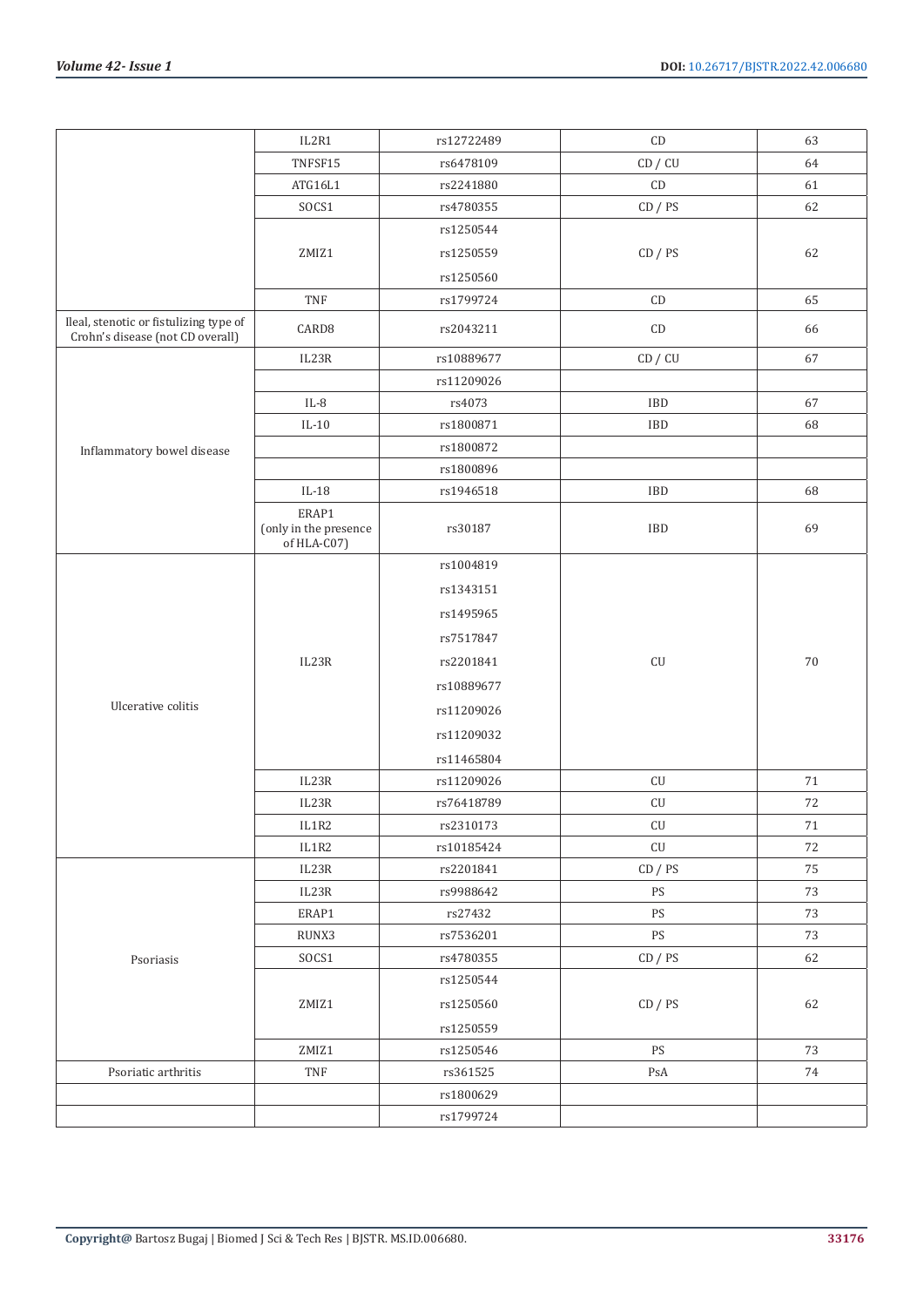|                                                                            | IL2R1                                         | rs12722489 | $\mathsf{CD}$          | 63     |
|----------------------------------------------------------------------------|-----------------------------------------------|------------|------------------------|--------|
|                                                                            | TNFSF15                                       | rs6478109  | CD / CU                | 64     |
|                                                                            | ATG16L1                                       | rs2241880  | $\mathsf{CD}$          | 61     |
|                                                                            | SOCS1                                         | rs4780355  | CD / PS                | 62     |
|                                                                            |                                               | rs1250544  |                        |        |
|                                                                            | ZMIZ1                                         | rs1250559  | CD / PS                | 62     |
|                                                                            |                                               | rs1250560  |                        |        |
|                                                                            | TNF                                           | rs1799724  | $\mathop{\mathrm{CD}}$ | 65     |
| Ileal, stenotic or fistulizing type of<br>Crohn's disease (not CD overall) | CARD <sub>8</sub>                             | rs2043211  | $\mathop{\mathrm{CD}}$ | 66     |
|                                                                            | IL23R                                         | rs10889677 | CD / CU                | 67     |
|                                                                            |                                               | rs11209026 |                        |        |
|                                                                            | $IL-8$                                        | rs4073     | IBD                    | 67     |
|                                                                            | $IL-10$                                       | rs1800871  | IBD                    | 68     |
| Inflammatory bowel disease                                                 |                                               | rs1800872  |                        |        |
|                                                                            |                                               | rs1800896  |                        |        |
|                                                                            | $IL-18$                                       | rs1946518  | IBD                    | 68     |
|                                                                            | ERAP1<br>(only in the presence<br>of HLA-C07) | rs30187    | IBD                    | 69     |
|                                                                            |                                               | rs1004819  |                        |        |
|                                                                            |                                               | rs1343151  |                        |        |
|                                                                            |                                               | rs1495965  |                        |        |
|                                                                            |                                               | rs7517847  |                        |        |
|                                                                            | IL23R                                         | rs2201841  | ${\rm CU}$             | $70\,$ |
|                                                                            |                                               | rs10889677 |                        |        |
| Ulcerative colitis                                                         |                                               | rs11209026 |                        |        |
|                                                                            |                                               | rs11209032 |                        |        |
|                                                                            |                                               | rs11465804 |                        |        |
|                                                                            | IL23R                                         | rs11209026 | ${\rm CU}$             | 71     |
|                                                                            | IL23R                                         | rs76418789 | ${\rm CU}$             | $72\,$ |
|                                                                            | $_{\rm IL1R2}$                                | rs2310173  | ${\rm CU}$             | $71\,$ |
|                                                                            | IL1R2                                         | rs10185424 | ${\rm CU}$             | 72     |
| Psoriasis                                                                  | IL23R                                         | rs2201841  | CD / PS                | 75     |
|                                                                            | IL23R                                         | rs9988642  | PS                     | $73\,$ |
|                                                                            | ERAP1                                         | rs27432    | PS                     | 73     |
|                                                                            | RUNX3                                         | rs7536201  | PS                     | 73     |
|                                                                            | ${\tt SOCS1}$                                 | rs4780355  | CD / PS                | 62     |
|                                                                            |                                               | rs1250544  |                        |        |
|                                                                            | ZMIZ1                                         | rs1250560  | CD / PS                | 62     |
|                                                                            |                                               | rs1250559  |                        |        |
|                                                                            | ZMIZ1                                         | rs1250546  | $\mathop{\mathrm{PS}}$ | 73     |
| Psoriatic arthritis                                                        | $\ensuremath{\mathsf{T}\mathsf{NF}}$          | rs361525   | PsA                    | $74\,$ |
|                                                                            |                                               | rs1800629  |                        |        |
|                                                                            |                                               | rs1799724  |                        |        |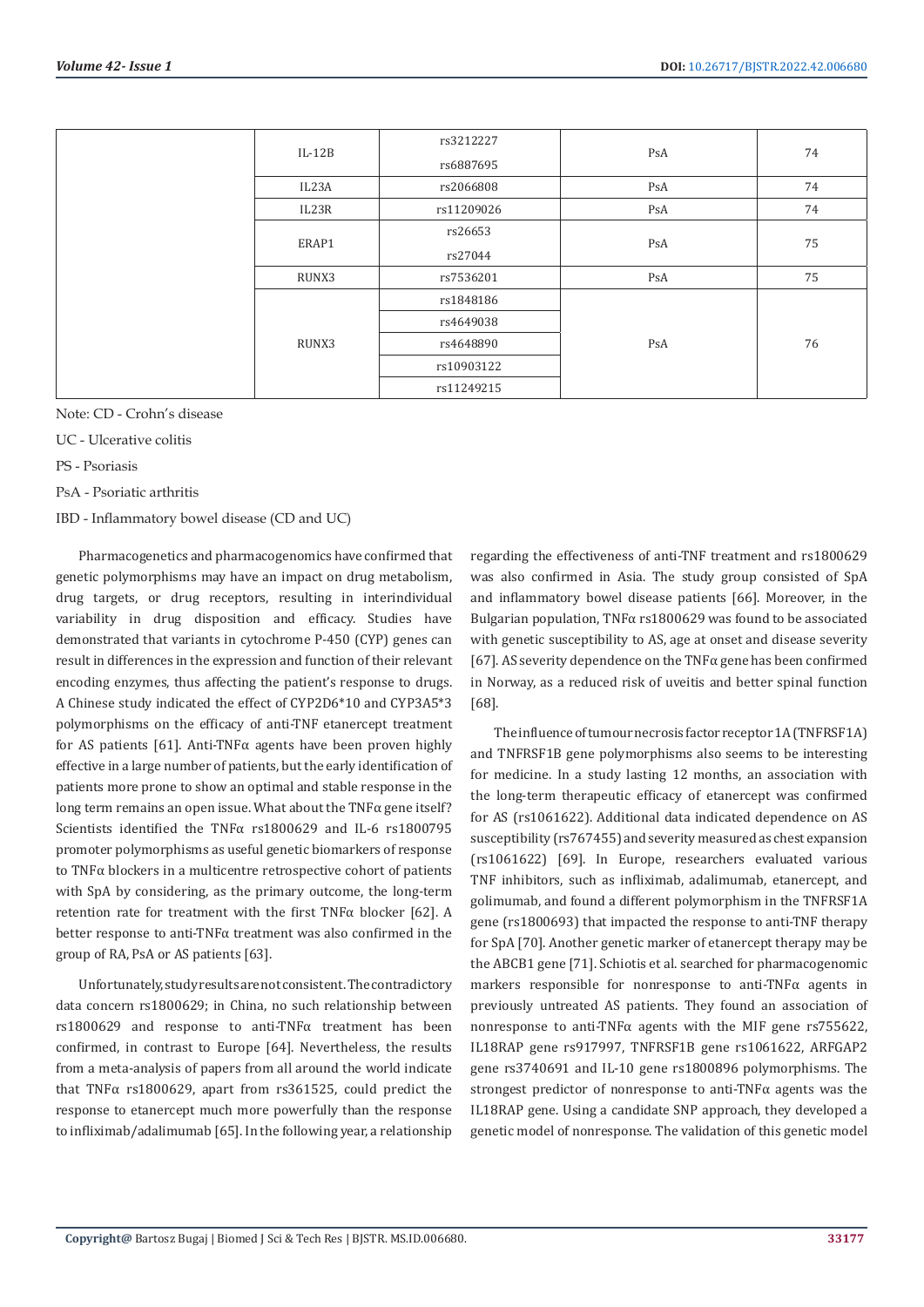| rs3212227<br>$IL-12B$<br>PsA     | 74 |
|----------------------------------|----|
| rs6887695                        |    |
| 74<br>PsA<br>IL23A<br>rs2066808  |    |
| 74<br>PsA<br>IL23R<br>rs11209026 |    |
| rs26653                          | 75 |
| ERAP1<br>PsA<br>rs27044          |    |
| 75<br>PsA<br>RUNX3<br>rs7536201  |    |
| rs1848186                        | 76 |
| rs4649038                        |    |
| RUNX3<br>rs4648890<br>PsA        |    |
| rs10903122                       |    |
| rs11249215                       |    |

Note: CD - Crohn's disease

UC - Ulcerative colitis

PS - Psoriasis

PsA - Psoriatic arthritis

IBD - Inflammatory bowel disease (CD and UC)

Pharmacogenetics and pharmacogenomics have confirmed that genetic polymorphisms may have an impact on drug metabolism, drug targets, or drug receptors, resulting in interindividual variability in drug disposition and efficacy. Studies have demonstrated that variants in cytochrome P-450 (CYP) genes can result in differences in the expression and function of their relevant encoding enzymes, thus affecting the patient's response to drugs. A Chinese study indicated the effect of CYP2D6\*10 and CYP3A5\*3 polymorphisms on the efficacy of anti-TNF etanercept treatment for AS patients [61]. Anti-TNF $\alpha$  agents have been proven highly effective in a large number of patients, but the early identification of patients more prone to show an optimal and stable response in the long term remains an open issue. What about the TNF $\alpha$  gene itself? Scientists identified the TNFα rs1800629 and IL-6 rs1800795 promoter polymorphisms as useful genetic biomarkers of response to TNFα blockers in a multicentre retrospective cohort of patients with SpA by considering, as the primary outcome, the long-term retention rate for treatment with the first TNFα blocker [62]. A better response to anti-TNFα treatment was also confirmed in the group of RA, PsA or AS patients [63].

Unfortunately, study results are not consistent. The contradictory data concern rs1800629; in China, no such relationship between rs1800629 and response to anti-TNFα treatment has been confirmed, in contrast to Europe [64]. Nevertheless, the results from a meta-analysis of papers from all around the world indicate that TNFα rs1800629, apart from rs361525, could predict the response to etanercept much more powerfully than the response to infliximab/adalimumab [65]. In the following year, a relationship

regarding the effectiveness of anti-TNF treatment and rs1800629 was also confirmed in Asia. The study group consisted of SpA and inflammatory bowel disease patients [66]. Moreover, in the Bulgarian population, TNFα rs1800629 was found to be associated with genetic susceptibility to AS, age at onset and disease severity [67]. AS severity dependence on the TNFα gene has been confirmed in Norway, as a reduced risk of uveitis and better spinal function [68].

The influence of tumour necrosis factor receptor 1A (TNFRSF1A) and TNFRSF1B gene polymorphisms also seems to be interesting for medicine. In a study lasting 12 months, an association with the long-term therapeutic efficacy of etanercept was confirmed for AS (rs1061622). Additional data indicated dependence on AS susceptibility (rs767455) and severity measured as chest expansion (rs1061622) [69]. In Europe, researchers evaluated various TNF inhibitors, such as infliximab, adalimumab, etanercept, and golimumab, and found a different polymorphism in the TNFRSF1A gene (rs1800693) that impacted the response to anti-TNF therapy for SpA [70]. Another genetic marker of etanercept therapy may be the ABCB1 gene [71]. Schiotis et al. searched for pharmacogenomic markers responsible for nonresponse to anti-TNFα agents in previously untreated AS patients. They found an association of nonresponse to anti-TNFα agents with the MIF gene rs755622, IL18RAP gene rs917997, TNFRSF1B gene rs1061622, ARFGAP2 gene rs3740691 and IL-10 gene rs1800896 polymorphisms. The strongest predictor of nonresponse to anti-TNFα agents was the IL18RAP gene. Using a candidate SNP approach, they developed a genetic model of nonresponse. The validation of this genetic model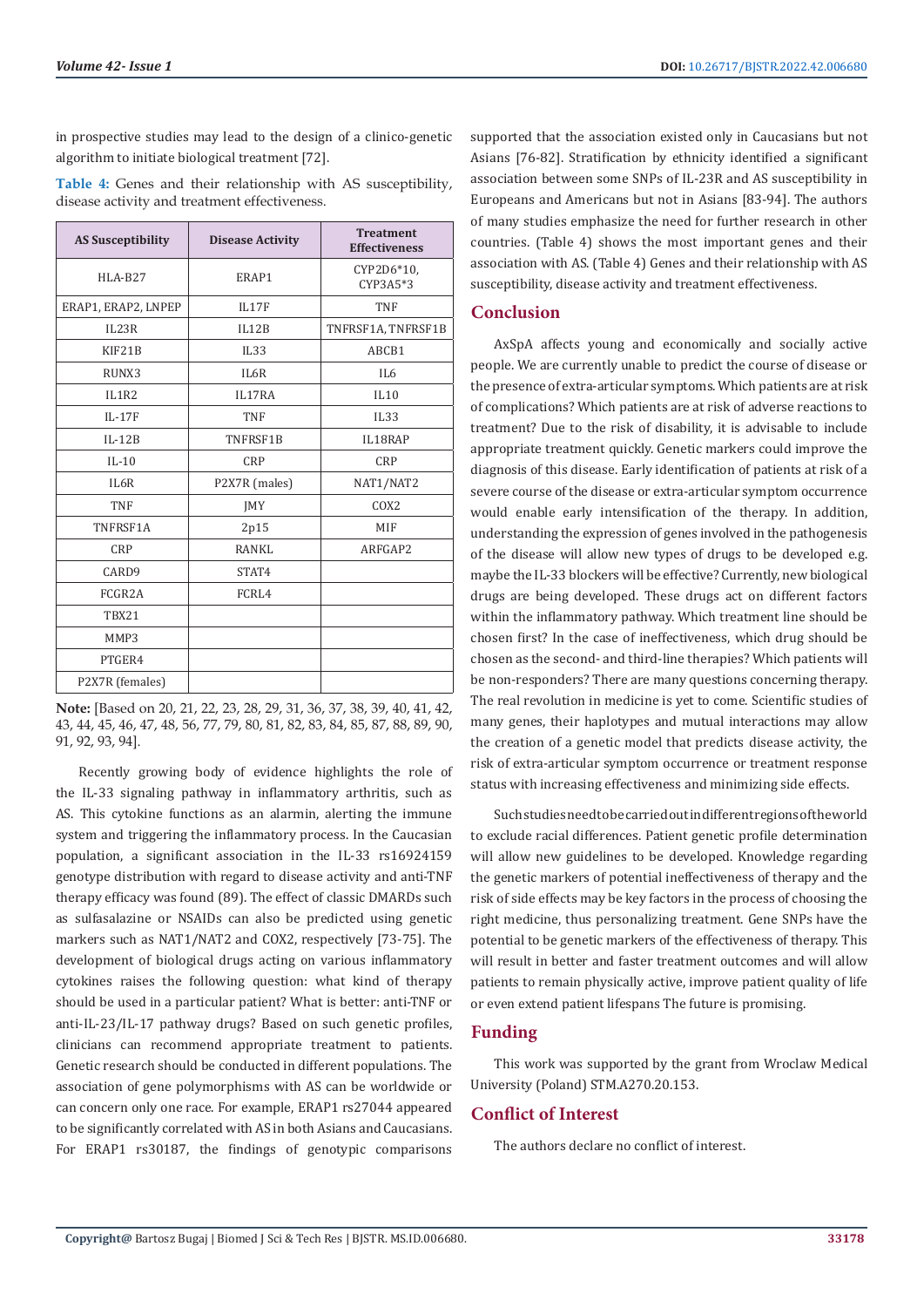in prospective studies may lead to the design of a clinico-genetic algorithm to initiate biological treatment [72].

**Table 4:** Genes and their relationship with AS susceptibility, disease activity and treatment effectiveness.

| <b>AS Susceptibility</b> | <b>Disease Activity</b> | <b>Treatment</b><br><b>Effectiveness</b> |
|--------------------------|-------------------------|------------------------------------------|
| HLA-B27                  | ERAP1                   | CYP2D6*10,<br>CYP3A5*3                   |
| ERAP1, ERAP2, LNPEP      | IL17F                   | <b>TNF</b>                               |
| IL23R                    | II.12B                  | TNFRSF1A, TNFRSF1B                       |
| KIF21B                   | IL33                    | ABCB1                                    |
| RUNX3                    | IL6R                    | IL6                                      |
| IL1R2                    | IL17RA                  | IL10                                     |
| $IL-17F$                 | <b>TNF</b>              | IL33                                     |
| $IL-12B$                 | TNFRSF1B                | IL18RAP                                  |
| $IL-10$                  | <b>CRP</b>              | <b>CRP</b>                               |
| IL6R                     | P2X7R (males)           | NAT1/NAT2                                |
| <b>TNF</b>               | <b>IMY</b>              | COX2                                     |
| TNFRSF1A                 | 2p15                    | MIF                                      |
| <b>CRP</b>               | RANKI.                  | ARFGAP2                                  |
| CARD9                    | STAT4                   |                                          |
| FCGR2A                   | FCRL4                   |                                          |
| TBX21                    |                         |                                          |
| MMP3                     |                         |                                          |
| PTGER4                   |                         |                                          |
| P2X7R (females)          |                         |                                          |

**Note:** [Based on 20, 21, 22, 23, 28, 29, 31, 36, 37, 38, 39, 40, 41, 42, 43, 44, 45, 46, 47, 48, 56, 77, 79, 80, 81, 82, 83, 84, 85, 87, 88, 89, 90, 91, 92, 93, 94].

Recently growing body of evidence highlights the role of the IL-33 signaling pathway in inflammatory arthritis, such as AS. This cytokine functions as an alarmin, alerting the immune system and triggering the inflammatory process. In the Caucasian population, a significant association in the IL-33 rs16924159 genotype distribution with regard to disease activity and anti-TNF therapy efficacy was found (89). The effect of classic DMARDs such as sulfasalazine or NSAIDs can also be predicted using genetic markers such as NAT1/NAT2 and COX2, respectively [73-75]. The development of biological drugs acting on various inflammatory cytokines raises the following question: what kind of therapy should be used in a particular patient? What is better: anti-TNF or anti-IL-23/IL-17 pathway drugs? Based on such genetic profiles, clinicians can recommend appropriate treatment to patients. Genetic research should be conducted in different populations. The association of gene polymorphisms with AS can be worldwide or can concern only one race. For example, ERAP1 rs27044 appeared to be significantly correlated with AS in both Asians and Caucasians. For ERAP1 rs30187, the findings of genotypic comparisons

supported that the association existed only in Caucasians but not Asians [76-82]. Stratification by ethnicity identified a significant association between some SNPs of IL-23R and AS susceptibility in Europeans and Americans but not in Asians [83-94]. The authors of many studies emphasize the need for further research in other countries. (Table 4) shows the most important genes and their association with AS. (Table 4) Genes and their relationship with AS susceptibility, disease activity and treatment effectiveness.

# **Conclusion**

AxSpA affects young and economically and socially active people. We are currently unable to predict the course of disease or the presence of extra-articular symptoms. Which patients are at risk of complications? Which patients are at risk of adverse reactions to treatment? Due to the risk of disability, it is advisable to include appropriate treatment quickly. Genetic markers could improve the diagnosis of this disease. Early identification of patients at risk of a severe course of the disease or extra-articular symptom occurrence would enable early intensification of the therapy. In addition, understanding the expression of genes involved in the pathogenesis of the disease will allow new types of drugs to be developed e.g. maybe the IL-33 blockers will be effective? Currently, new biological drugs are being developed. These drugs act on different factors within the inflammatory pathway. Which treatment line should be chosen first? In the case of ineffectiveness, which drug should be chosen as the second- and third-line therapies? Which patients will be non-responders? There are many questions concerning therapy. The real revolution in medicine is yet to come. Scientific studies of many genes, their haplotypes and mutual interactions may allow the creation of a genetic model that predicts disease activity, the risk of extra-articular symptom occurrence or treatment response status with increasing effectiveness and minimizing side effects.

Such studies need to be carried out in different regions of the world to exclude racial differences. Patient genetic profile determination will allow new guidelines to be developed. Knowledge regarding the genetic markers of potential ineffectiveness of therapy and the risk of side effects may be key factors in the process of choosing the right medicine, thus personalizing treatment. Gene SNPs have the potential to be genetic markers of the effectiveness of therapy. This will result in better and faster treatment outcomes and will allow patients to remain physically active, improve patient quality of life or even extend patient lifespans The future is promising.

# **Funding**

This work was supported by the grant from Wroclaw Medical University (Poland) STM.A270.20.153.

# **Conflict of Interest**

The authors declare no conflict of interest.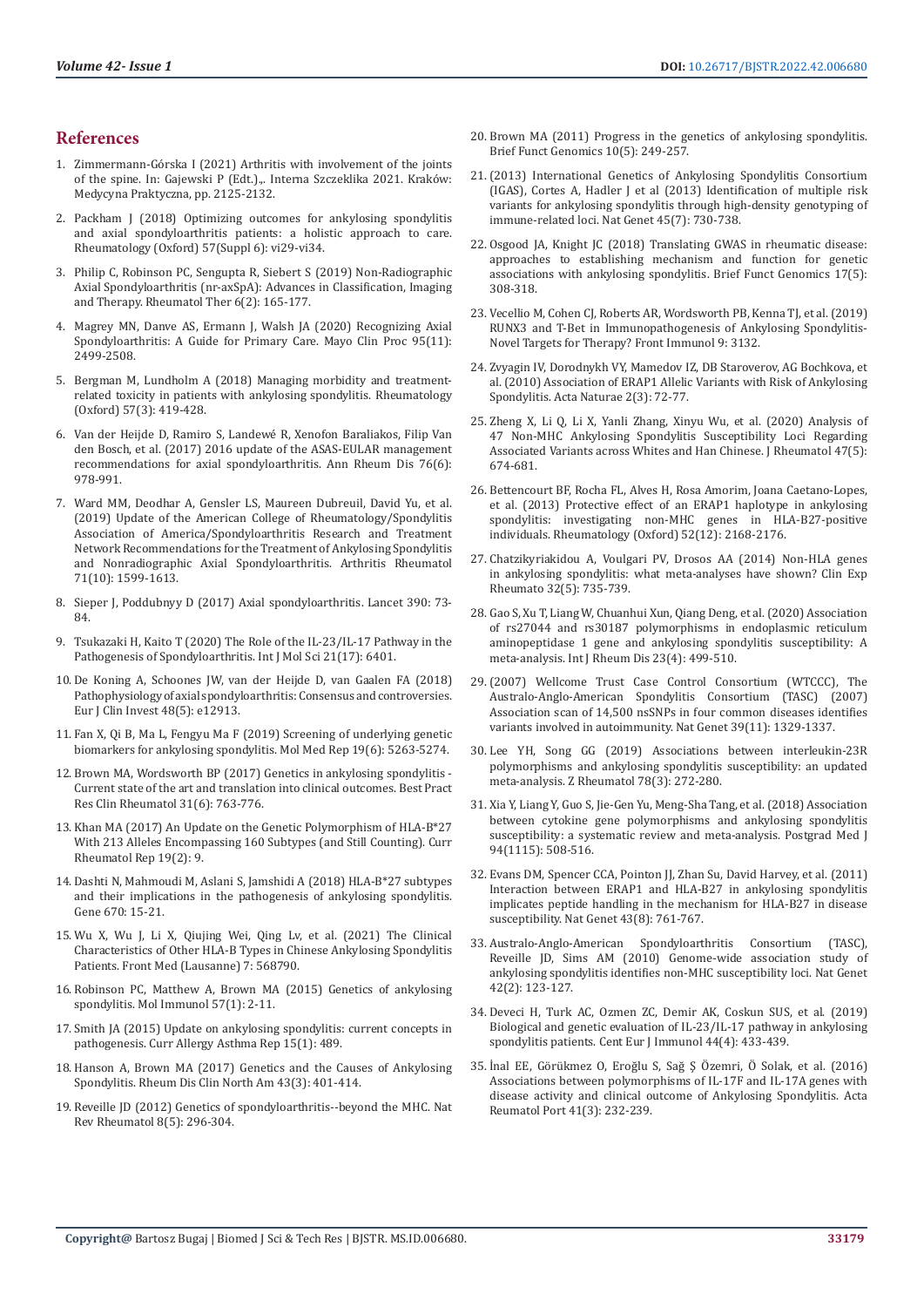# **References**

- 1. Zimmermann-Górska I (2021) Arthritis with involvement of the joints of the spine. In: Gajewski P (Edt.).,. Interna Szczeklika 2021. Kraków: Medycyna Praktyczna, pp. 2125-2132.
- 2. [Packham J \(2018\) Optimizing outcomes for ankylosing spondylitis](https://academic.oup.com/rheumatology/article/57/suppl_6/vi29/5184858)  [and axial spondyloarthritis patients: a holistic approach to care.](https://academic.oup.com/rheumatology/article/57/suppl_6/vi29/5184858)  [Rheumatology \(Oxford\) 57\(Suppl 6\): vi29-vi34.](https://academic.oup.com/rheumatology/article/57/suppl_6/vi29/5184858)
- 3. [Philip C, Robinson PC, Sengupta R, Siebert S \(2019\) Non-Radiographic](https://pubmed.ncbi.nlm.nih.gov/30788779/)  [Axial Spondyloarthritis \(nr-axSpA\): Advances in Classification, Imaging](https://pubmed.ncbi.nlm.nih.gov/30788779/)  [and Therapy. Rheumatol Ther 6\(2\): 165-177.](https://pubmed.ncbi.nlm.nih.gov/30788779/)
- 4. [Magrey MN, Danve AS, Ermann J, Walsh JA \(2020\) Recognizing Axial](https://pubmed.ncbi.nlm.nih.gov/32736944/)  [Spondyloarthritis: A Guide for Primary Care. Mayo Clin Proc 95\(11\):](https://pubmed.ncbi.nlm.nih.gov/32736944/)  [2499-2508.](https://pubmed.ncbi.nlm.nih.gov/32736944/)
- 5. [Bergman M, Lundholm A \(2018\) Managing morbidity and treatment](https://pubmed.ncbi.nlm.nih.gov/28977661/)[related toxicity in patients with ankylosing spondylitis. Rheumatology](https://pubmed.ncbi.nlm.nih.gov/28977661/)  [\(Oxford\) 57\(3\): 419-428.](https://pubmed.ncbi.nlm.nih.gov/28977661/)
- 6. [Van der Heijde D, Ramiro S, Landewé R, Xenofon Baraliakos, Filip Van](https://pubmed.ncbi.nlm.nih.gov/28087505/)  [den Bosch, et al. \(2017\) 2016 update of the ASAS-EULAR management](https://pubmed.ncbi.nlm.nih.gov/28087505/)  [recommendations for axial spondyloarthritis. Ann Rheum Dis 76\(6\):](https://pubmed.ncbi.nlm.nih.gov/28087505/)  [978-991.](https://pubmed.ncbi.nlm.nih.gov/28087505/)
- 7. [Ward MM, Deodhar A, Gensler LS, Maureen Dubreuil, David Yu, et al.](https://pubmed.ncbi.nlm.nih.gov/31436036/)  [\(2019\) Update of the American College of Rheumatology/Spondylitis](https://pubmed.ncbi.nlm.nih.gov/31436036/)  [Association of America/Spondyloarthritis Research and Treatment](https://pubmed.ncbi.nlm.nih.gov/31436036/)  [Network Recommendations for the Treatment of Ankylosing Spondylitis](https://pubmed.ncbi.nlm.nih.gov/31436036/)  [and Nonradiographic Axial Spondyloarthritis. Arthritis Rheumatol](https://pubmed.ncbi.nlm.nih.gov/31436036/)  [71\(10\): 1599-1613.](https://pubmed.ncbi.nlm.nih.gov/31436036/)
- 8. Sieper J, Poddubnyy D (2017) Axial spondyloarthritis. Lancet 390: 73- 84.
- 9. Tsukazaki H, Kaito T (2020) The Role of the IL-23/IL-17 Pathway in the Pathogenesis of Spondyloarthritis. Int J Mol Sci 21(17): 6401.
- 10. [De Koning A, Schoones JW, van der Heijde D, van Gaalen FA \(2018\)](https://pubmed.ncbi.nlm.nih.gov/29460306/)  [Pathophysiology of axial spondyloarthritis: Consensus and controversies.](https://pubmed.ncbi.nlm.nih.gov/29460306/)  [Eur J Clin Invest 48\(5\): e12913.](https://pubmed.ncbi.nlm.nih.gov/29460306/)
- 11. [Fan X, Qi B, Ma L, Fengyu Ma F \(2019\) Screening of underlying genetic](https://www.spandidos-publications.com/10.3892/mmr.2019.10188)  [biomarkers for ankylosing spondylitis. Mol Med Rep 19\(6\): 5263-5274.](https://www.spandidos-publications.com/10.3892/mmr.2019.10188)
- 12. [Brown MA, Wordsworth BP \(2017\) Genetics in ankylosing spondylitis](https://pubmed.ncbi.nlm.nih.gov/30509439/)  [Current state of the art and translation into clinical outcomes. Best Pract](https://pubmed.ncbi.nlm.nih.gov/30509439/)  [Res Clin Rheumatol 31\(6\): 763-776.](https://pubmed.ncbi.nlm.nih.gov/30509439/)
- 13. [Khan MA \(2017\) An Update on the Genetic Polymorphism of HLA-B\\*27](https://pubmed.ncbi.nlm.nih.gov/28247302/)  [With 213 Alleles Encompassing 160 Subtypes \(and Still Counting\). Curr](https://pubmed.ncbi.nlm.nih.gov/28247302/)  [Rheumatol Rep 19\(2\): 9.](https://pubmed.ncbi.nlm.nih.gov/28247302/)
- 14. [Dashti N, Mahmoudi M, Aslani S, Jamshidi A \(2018\) HLA-B\\*27 subtypes](https://pubmed.ncbi.nlm.nih.gov/29803000/)  [and their implications in the pathogenesis of ankylosing spondylitis.](https://pubmed.ncbi.nlm.nih.gov/29803000/)  [Gene 670: 15-21.](https://pubmed.ncbi.nlm.nih.gov/29803000/)
- 15. [Wu X, Wu J, Li X, Qiujing Wei, Qing Lv, et al. \(2021\) The Clinical](https://pubmed.ncbi.nlm.nih.gov/33490092/)  [Characteristics of Other HLA-B Types in Chinese Ankylosing Spondylitis](https://pubmed.ncbi.nlm.nih.gov/33490092/)  [Patients. Front Med \(Lausanne\) 7: 568790.](https://pubmed.ncbi.nlm.nih.gov/33490092/)
- 16. Robinson PC, Matthew A, Brown MA (2015) Genetics of ankylosing spondylitis. Mol Immunol 57(1): 2-11.
- 17. [Smith JA \(2015\) Update on ankylosing spondylitis: current concepts in](https://pubmed.ncbi.nlm.nih.gov/25447326/)  [pathogenesis. Curr Allergy Asthma Rep 15\(1\): 489.](https://pubmed.ncbi.nlm.nih.gov/25447326/)
- 18. [Hanson A, Brown MA \(2017\) Genetics and the Causes of Ankylosing](https://pubmed.ncbi.nlm.nih.gov/28711142/)  [Spondylitis. Rheum Dis Clin North Am 43\(3\): 401-414.](https://pubmed.ncbi.nlm.nih.gov/28711142/)
- 19. Reveille JD (2012) Genetics of spondyloarthritis--beyond the MHC. Nat Rev Rheumatol 8(5): 296-304.
- 20. [Brown MA \(2011\) Progress in the genetics of ankylosing spondylitis.](https://watermark.silverchair.com/elr023.pdf?token=AQECAHi208BE49Ooan9kkhW_Ercy7Dm3ZL_9Cf3qfKAc485ysgAAAr8wggK7BgkqhkiG9w0BBwagggKsMIICqAIBADCCAqEGCSqGSIb3DQEHATAeBglghkgBZQMEAS4wEQQM3Uo8lb7fkMmusVV1AgEQgIICcl7RHBrNSNUMRuY8bnnLa_Bno8MUTHh0aQ71eya1xtonINU4E6KsKVwilscJ5s7LnB1cMneF3RPAJ5rDvLzXdH5H9kZCaVpCMtqVQXc7LNL64VIwIpmfQE5NEEQSG3D4crZCwbey5BMsScMn18G0aWchCTeo0SDqnXWwzdnxguike9QhcdilDyhuYAzT5jksYCS3N_DLwksqanESz8LchAi7hy-k1SI8f5GShOjvMr8jgmRWU1pysG6tt8hMy4j9plXC5KD6zhSUeOjfXueZWy-oi4O7U3z5YU52Bt1Mo2MBynoLjxXtnv3kb8RCj8IiztgmCneeeu7eLzBkvh0fF9hV1k01GQGju2sZFKj82TsEVYZcfourwgv2AhKw4xpX5mgudNc7DEBPXd77B32bY6TOaHWJc2hUFnDGPqXvXwdgYA3EN_sFjlKIg1C9IPNYwvZt7GFQyIb2gN-gDHXqg1XmAH2BW2-YVXklds169dhgwo34jBY7NLpIBzixd-Emw4sijLSAI18y9ge62Nkfje1YyZK2FPFmln4h2f_9-AppRxKWYQ-gw4ylGNJlEPtAHBdSo_szHh6P2IUstWjsZqFrm9xwWkNH2PbzYjm_ozyKGCfAITxP1LagthSUesbFSJ-W7M7roYkj7hB08RivBt2du0vVrsa9NklHT7sRqM2m3NKKiKDWK-kfJz5tlO9bsFjNMytqzMxINkQQAqpymxDGGyLiiFyJ3_SPfH1iYjfJ3Kr38KbgNBxSnVeGYlRJ-zAoHbN2bbpiov3Y4EwxJl29PSShMxI1U40cs0e2gfdYAWJUX-B5Q0RJP8-CFxMDjwP8) [Brief Funct Genomics 10\(5\): 249-257.](https://watermark.silverchair.com/elr023.pdf?token=AQECAHi208BE49Ooan9kkhW_Ercy7Dm3ZL_9Cf3qfKAc485ysgAAAr8wggK7BgkqhkiG9w0BBwagggKsMIICqAIBADCCAqEGCSqGSIb3DQEHATAeBglghkgBZQMEAS4wEQQM3Uo8lb7fkMmusVV1AgEQgIICcl7RHBrNSNUMRuY8bnnLa_Bno8MUTHh0aQ71eya1xtonINU4E6KsKVwilscJ5s7LnB1cMneF3RPAJ5rDvLzXdH5H9kZCaVpCMtqVQXc7LNL64VIwIpmfQE5NEEQSG3D4crZCwbey5BMsScMn18G0aWchCTeo0SDqnXWwzdnxguike9QhcdilDyhuYAzT5jksYCS3N_DLwksqanESz8LchAi7hy-k1SI8f5GShOjvMr8jgmRWU1pysG6tt8hMy4j9plXC5KD6zhSUeOjfXueZWy-oi4O7U3z5YU52Bt1Mo2MBynoLjxXtnv3kb8RCj8IiztgmCneeeu7eLzBkvh0fF9hV1k01GQGju2sZFKj82TsEVYZcfourwgv2AhKw4xpX5mgudNc7DEBPXd77B32bY6TOaHWJc2hUFnDGPqXvXwdgYA3EN_sFjlKIg1C9IPNYwvZt7GFQyIb2gN-gDHXqg1XmAH2BW2-YVXklds169dhgwo34jBY7NLpIBzixd-Emw4sijLSAI18y9ge62Nkfje1YyZK2FPFmln4h2f_9-AppRxKWYQ-gw4ylGNJlEPtAHBdSo_szHh6P2IUstWjsZqFrm9xwWkNH2PbzYjm_ozyKGCfAITxP1LagthSUesbFSJ-W7M7roYkj7hB08RivBt2du0vVrsa9NklHT7sRqM2m3NKKiKDWK-kfJz5tlO9bsFjNMytqzMxINkQQAqpymxDGGyLiiFyJ3_SPfH1iYjfJ3Kr38KbgNBxSnVeGYlRJ-zAoHbN2bbpiov3Y4EwxJl29PSShMxI1U40cs0e2gfdYAWJUX-B5Q0RJP8-CFxMDjwP8)
- 21.[\(2013\) International Genetics of Ankylosing Spondylitis Consortium](https://pubmed.ncbi.nlm.nih.gov/23749187/) [\(IGAS\), Cortes A, Hadler J et al \(2013\) Identification of multiple risk](https://pubmed.ncbi.nlm.nih.gov/23749187/) [variants for ankylosing spondylitis through high-density genotyping of](https://pubmed.ncbi.nlm.nih.gov/23749187/) [immune-related loci. Nat Genet 45\(7\): 730-738.](https://pubmed.ncbi.nlm.nih.gov/23749187/)
- 22. [Osgood JA, Knight JC \(2018\) Translating GWAS in rheumatic disease:](https://pubmed.ncbi.nlm.nih.gov/29741584/) [approaches to establishing mechanism and function for genetic](https://pubmed.ncbi.nlm.nih.gov/29741584/) [associations with ankylosing spondylitis. Brief Funct Genomics 17\(5\):](https://pubmed.ncbi.nlm.nih.gov/29741584/) [308-318.](https://pubmed.ncbi.nlm.nih.gov/29741584/)
- 23. [Vecellio M, Cohen CJ, Roberts AR, Wordsworth PB, Kenna TJ, et al. \(2019\)](https://www.frontiersin.org/articles/10.3389/fimmu.2018.03132/full) [RUNX3 and T-Bet in Immunopathogenesis of Ankylosing Spondylitis-](https://www.frontiersin.org/articles/10.3389/fimmu.2018.03132/full)[Novel Targets for Therapy? Front Immunol 9: 3132.](https://www.frontiersin.org/articles/10.3389/fimmu.2018.03132/full)
- 24. [Zvyagin IV, Dorodnykh VY, Mamedov IZ, DB Staroverov, AG Bochkova, et](https://www.ncbi.nlm.nih.gov/pmc/articles/PMC3347560/) [al. \(2010\) Association of ERAP1 Allelic Variants with Risk of Ankylosing](https://www.ncbi.nlm.nih.gov/pmc/articles/PMC3347560/) [Spondylitis. Acta Naturae 2\(3\): 72-77.](https://www.ncbi.nlm.nih.gov/pmc/articles/PMC3347560/)
- 25. [Zheng X, Li Q, Li X, Yanli Zhang, Xinyu Wu, et al. \(2020\) Analysis of](https://pubmed.ncbi.nlm.nih.gov/31523044/) [47 Non-MHC Ankylosing Spondylitis Susceptibility Loci Regarding](https://pubmed.ncbi.nlm.nih.gov/31523044/) [Associated Variants across Whites and Han Chinese. J Rheumatol 47\(5\):](https://pubmed.ncbi.nlm.nih.gov/31523044/) [674-681.](https://pubmed.ncbi.nlm.nih.gov/31523044/)
- 26. Bettencourt BF, Rocha FL, Alves H, Rosa Amorim, Joana Caetano-Lopes, et al. (2013) Protective effect of an ERAP1 haplotype in ankylosing spondylitis: investigating non-MHC genes in HLA-B27-positive individuals. Rheumatology (Oxford) 52(12): 2168-2176.
- 27. [Chatzikyriakidou A, Voulgari PV, Drosos AA \(2014\) Non-HLA genes](https://pubmed.ncbi.nlm.nih.gov/25068597/) [in ankylosing spondylitis: what meta-analyses have shown? Clin Exp](https://pubmed.ncbi.nlm.nih.gov/25068597/) [Rheumato 32\(5\): 735-739.](https://pubmed.ncbi.nlm.nih.gov/25068597/)
- 28. [Gao S, Xu T, Liang W, Chuanhui Xun, Qiang Deng, et al. \(2020\) Association](https://pubmed.ncbi.nlm.nih.gov/31984677/) [of rs27044 and rs30187 polymorphisms in endoplasmic reticulum](https://pubmed.ncbi.nlm.nih.gov/31984677/) [aminopeptidase 1 gene and ankylosing spondylitis susceptibility: A](https://pubmed.ncbi.nlm.nih.gov/31984677/) [meta-analysis. Int J Rheum Dis 23\(4\): 499-510.](https://pubmed.ncbi.nlm.nih.gov/31984677/)
- 29.[\(2007\) Wellcome Trust Case Control Consortium \(WTCCC\), The](https://pubmed.ncbi.nlm.nih.gov/17952073/) [Australo-Anglo-American Spondylitis Consortium \(TASC\) \(2007\)](https://pubmed.ncbi.nlm.nih.gov/17952073/) [Association scan of 14,500 nsSNPs in four common diseases identifies](https://pubmed.ncbi.nlm.nih.gov/17952073/) [variants involved in autoimmunity. Nat Genet 39\(11\): 1329-1337.](https://pubmed.ncbi.nlm.nih.gov/17952073/)
- 30. Lee YH, Song GG (2019) Associations between interleukin-23R polymorphisms and ankylosing spondylitis susceptibility: an updated meta-analysis. Z Rheumatol 78(3): 272-280.
- 31. [Xia Y, Liang Y, Guo S, Jie-Gen Yu, Meng-Sha Tang, et al. \(2018\) Association](https://pubmed.ncbi.nlm.nih.gov/30322951/) [between cytokine gene polymorphisms and ankylosing spondylitis](https://pubmed.ncbi.nlm.nih.gov/30322951/) [susceptibility: a systematic review and meta-analysis. Postgrad Med J](https://pubmed.ncbi.nlm.nih.gov/30322951/) [94\(1115\): 508-516.](https://pubmed.ncbi.nlm.nih.gov/30322951/)
- 32. [Evans DM, Spencer CCA, Pointon JJ, Zhan Su, David Harvey, et al. \(2011\)](https://pubmed.ncbi.nlm.nih.gov/21743469/) [Interaction between ERAP1 and HLA-B27 in ankylosing spondylitis](https://pubmed.ncbi.nlm.nih.gov/21743469/) [implicates peptide handling in the mechanism for HLA-B27 in disease](https://pubmed.ncbi.nlm.nih.gov/21743469/) [susceptibility. Nat Genet 43\(8\): 761-767.](https://pubmed.ncbi.nlm.nih.gov/21743469/)
- 33. [Australo-Anglo-American Spondyloarthritis Consortium \(TASC\),](https://www.scirp.org/(S(i43dyn45teexjx455qlt3d2q))/reference/ReferencesPapers.aspx?ReferenceID=1052438) [Reveille JD, Sims AM \(2010\) Genome-wide association study of](https://www.scirp.org/(S(i43dyn45teexjx455qlt3d2q))/reference/ReferencesPapers.aspx?ReferenceID=1052438) [ankylosing spondylitis identifies non-MHC susceptibility loci. Nat Genet](https://www.scirp.org/(S(i43dyn45teexjx455qlt3d2q))/reference/ReferencesPapers.aspx?ReferenceID=1052438) [42\(2\): 123-127.](https://www.scirp.org/(S(i43dyn45teexjx455qlt3d2q))/reference/ReferencesPapers.aspx?ReferenceID=1052438)
- 34. [Deveci H, Turk AC, Ozmen ZC, Demir AK, Coskun SUS, et al. \(2019\)](https://pubmed.ncbi.nlm.nih.gov/32140056/) [Biological and genetic evaluation of IL-23/IL-17 pathway in ankylosing](https://pubmed.ncbi.nlm.nih.gov/32140056/) [spondylitis patients. Cent Eur J Immunol 44\(4\): 433-439.](https://pubmed.ncbi.nlm.nih.gov/32140056/)
- 35. [İnal EE, Görükmez O, Eroğlu S, Sağ Ş Özemri, Ö Solak, et al. \(2016\)](https://pubmed.ncbi.nlm.nih.gov/27155445/) [Associations between polymorphisms of IL-17F and IL-17A genes with](https://pubmed.ncbi.nlm.nih.gov/27155445/) [disease activity and clinical outcome of Ankylosing Spondylitis. Acta](https://pubmed.ncbi.nlm.nih.gov/27155445/) [Reumatol Port 41\(3\): 232-239.](https://pubmed.ncbi.nlm.nih.gov/27155445/)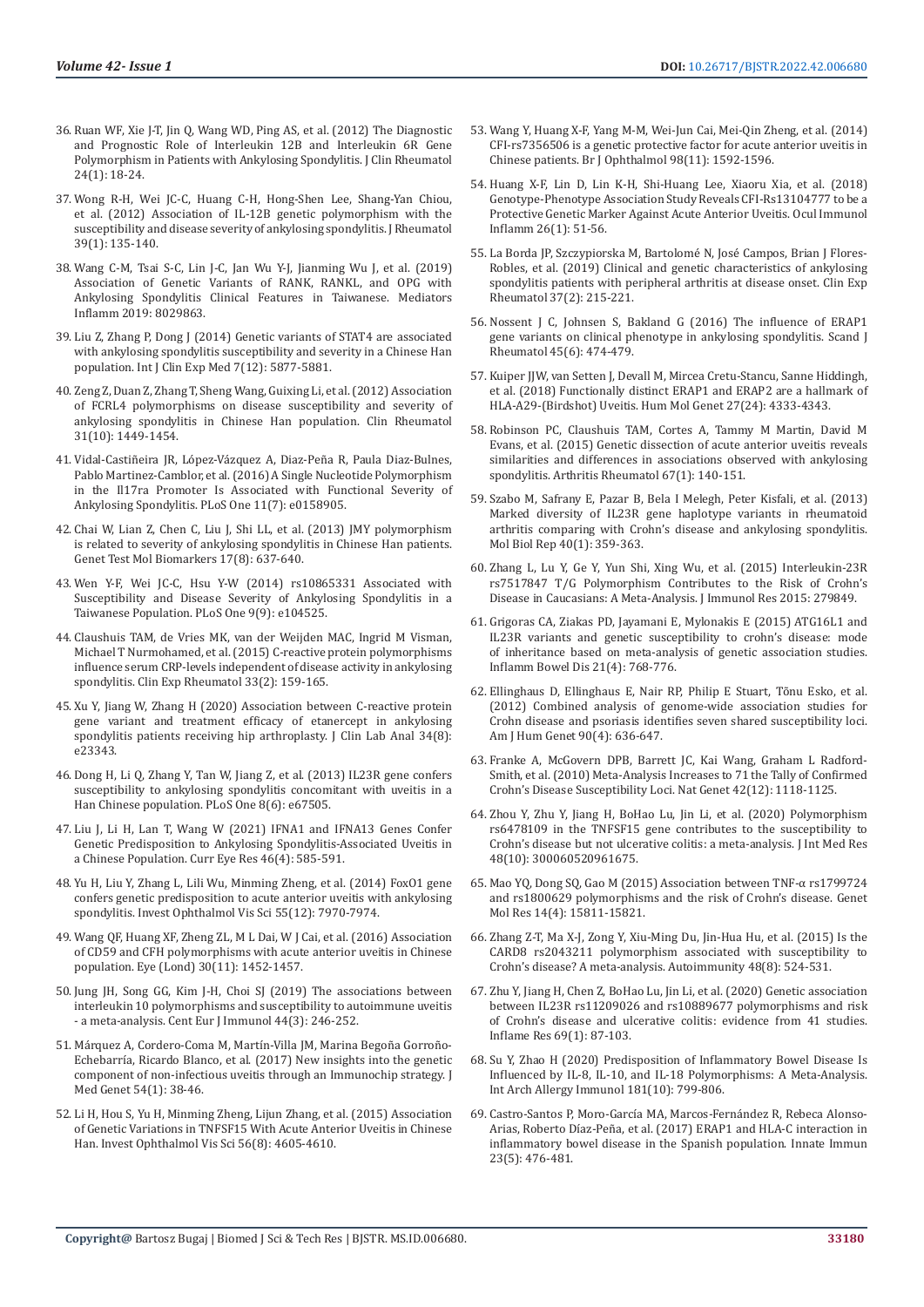- 36. [Ruan WF, Xie J-T, Jin Q, Wang WD, Ping AS, et al. \(2012\) The Diagnostic](https://pubmed.ncbi.nlm.nih.gov/29200018/)  [and Prognostic Role of Interleukin 12B and Interleukin 6R Gene](https://pubmed.ncbi.nlm.nih.gov/29200018/)  [Polymorphism in Patients with Ankylosing Spondylitis. J Clin Rheumatol](https://pubmed.ncbi.nlm.nih.gov/29200018/)  [24\(1\): 18-24.](https://pubmed.ncbi.nlm.nih.gov/29200018/)
- 37. [Wong R-H, Wei JC-C, Huang C-H, Hong-Shen Lee, Shang-Yan Chiou,](https://pubmed.ncbi.nlm.nih.gov/22045842/)  [et al. \(2012\) Association of IL-12B genetic polymorphism with the](https://pubmed.ncbi.nlm.nih.gov/22045842/)  [susceptibility and disease severity of ankylosing spondylitis. J Rheumatol](https://pubmed.ncbi.nlm.nih.gov/22045842/)  [39\(1\): 135-140.](https://pubmed.ncbi.nlm.nih.gov/22045842/)
- 38. [Wang C-M, Tsai S-C, Lin J-C, Jan Wu Y-J, Jianming Wu J, et al. \(2019\)](https://pubmed.ncbi.nlm.nih.gov/31015798/)  [Association of Genetic Variants of RANK, RANKL, and OPG with](https://pubmed.ncbi.nlm.nih.gov/31015798/)  [Ankylosing Spondylitis Clinical Features in Taiwanese. Mediators](https://pubmed.ncbi.nlm.nih.gov/31015798/)  [Inflamm 2019: 8029863.](https://pubmed.ncbi.nlm.nih.gov/31015798/)
- 39. [Liu Z, Zhang P, Dong J \(2014\) Genetic variants of STAT4 are associated](https://www.ncbi.nlm.nih.gov/pmc/articles/PMC4307571/)  [with ankylosing spondylitis susceptibility and severity in a Chinese Han](https://www.ncbi.nlm.nih.gov/pmc/articles/PMC4307571/)  [population. Int J Clin Exp Med 7\(12\): 5877-5881.](https://www.ncbi.nlm.nih.gov/pmc/articles/PMC4307571/)
- 40. [Zeng Z, Duan Z, Zhang T, Sheng Wang, Guixing Li, et al. \(2012\) Association](https://pubmed.ncbi.nlm.nih.gov/22777505/)  [of FCRL4 polymorphisms on disease susceptibility and severity of](https://pubmed.ncbi.nlm.nih.gov/22777505/)  [ankylosing spondylitis in Chinese Han population. Clin Rheumatol](https://pubmed.ncbi.nlm.nih.gov/22777505/)  [31\(10\): 1449-1454.](https://pubmed.ncbi.nlm.nih.gov/22777505/)
- 41. [Vidal-Castiñeira JR, López-Vázquez A, Diaz-Peña R, Paula Diaz-Bulnes,](https://pubmed.ncbi.nlm.nih.gov/27415816/)  [Pablo Martinez-Camblor, et al. \(2016\) A Single Nucleotide Polymorphism](https://pubmed.ncbi.nlm.nih.gov/27415816/)  [in the Il17ra Promoter Is Associated with Functional Severity of](https://pubmed.ncbi.nlm.nih.gov/27415816/)  [Ankylosing Spondylitis. PLoS One 11\(7\): e0158905.](https://pubmed.ncbi.nlm.nih.gov/27415816/)
- 42. [Chai W, Lian Z, Chen C, Liu J, Shi LL, et al. \(2013\) JMY polymorphism](https://pubmed.ncbi.nlm.nih.gov/23758122/)  [is related to severity of ankylosing spondylitis in Chinese Han patients.](https://pubmed.ncbi.nlm.nih.gov/23758122/)  [Genet Test Mol Biomarkers 17\(8\): 637-640.](https://pubmed.ncbi.nlm.nih.gov/23758122/)
- 43. [Wen Y-F, Wei JC-C, Hsu Y-W \(2014\) rs10865331 Associated with](https://journals.plos.org/plosone/article?id=10.1371/journal.pone.0104525)  [Susceptibility and Disease Severity of Ankylosing Spondylitis in a](https://journals.plos.org/plosone/article?id=10.1371/journal.pone.0104525)  [Taiwanese Population. PLoS One 9\(9\): e104525.](https://journals.plos.org/plosone/article?id=10.1371/journal.pone.0104525)
- 44. [Claushuis TAM, de Vries MK, van der Weijden MAC, Ingrid M Visman,](https://pubmed.ncbi.nlm.nih.gov/25603416/)  [Michael T Nurmohamed, et al. \(2015\) C-reactive protein polymorphisms](https://pubmed.ncbi.nlm.nih.gov/25603416/)  [influence serum CRP-levels independent of disease activity in ankylosing](https://pubmed.ncbi.nlm.nih.gov/25603416/)  [spondylitis. Clin Exp Rheumatol 33\(2\): 159-165.](https://pubmed.ncbi.nlm.nih.gov/25603416/)
- 45. [Xu Y, Jiang W, Zhang H \(2020\) Association between C-reactive protein](https://pubmed.ncbi.nlm.nih.gov/32311164/)  [gene variant and treatment efficacy of etanercept in ankylosing](https://pubmed.ncbi.nlm.nih.gov/32311164/)  [spondylitis patients receiving hip arthroplasty. J Clin Lab Anal 34\(8\):](https://pubmed.ncbi.nlm.nih.gov/32311164/)  [e23343.](https://pubmed.ncbi.nlm.nih.gov/32311164/)
- 46. [Dong H, Li Q, Zhang Y, Tan W, Jiang Z, et al. \(2013\) IL23R gene confers](https://journals.plos.org/plosone/article?id=10.1371/journal.pone.0067505)  [susceptibility to ankylosing spondylitis concomitant with uveitis in a](https://journals.plos.org/plosone/article?id=10.1371/journal.pone.0067505)  [Han Chinese population. PLoS One 8\(6\): e67505.](https://journals.plos.org/plosone/article?id=10.1371/journal.pone.0067505)
- 47. [Liu J, Li H, Lan T, Wang W \(2021\) IFNA1 and IFNA13 Genes Confer](https://www.google.com/search?q=FoxO1+gene+confers+genetic+predisposition+to+acute+anterior+uveitis+with+ankylosing+spondylitis.&oq=FoxO1+gene+confers+genetic+predisposition+to+acute+anterior+uveitis+with+ankylosing+spondylitis.&aqs=chrome..69i57.1549j0j4&sourceid=chrome&ie=UTF-8)  [Genetic Predisposition to Ankylosing Spondylitis-Associated Uveitis in](https://www.google.com/search?q=FoxO1+gene+confers+genetic+predisposition+to+acute+anterior+uveitis+with+ankylosing+spondylitis.&oq=FoxO1+gene+confers+genetic+predisposition+to+acute+anterior+uveitis+with+ankylosing+spondylitis.&aqs=chrome..69i57.1549j0j4&sourceid=chrome&ie=UTF-8)  [a Chinese Population. Curr Eye Res 46\(4\): 585-591.](https://www.google.com/search?q=FoxO1+gene+confers+genetic+predisposition+to+acute+anterior+uveitis+with+ankylosing+spondylitis.&oq=FoxO1+gene+confers+genetic+predisposition+to+acute+anterior+uveitis+with+ankylosing+spondylitis.&aqs=chrome..69i57.1549j0j4&sourceid=chrome&ie=UTF-8)
- 48. [Yu H, Liu Y, Zhang L, Lili Wu, Minming Zheng, et al. \(2014\) FoxO1 gene](https://iovs.arvojournals.org/article.aspx?articleid=2212652)  [confers genetic predisposition to acute anterior uveitis with ankylosing](https://iovs.arvojournals.org/article.aspx?articleid=2212652)  [spondylitis. Invest Ophthalmol Vis Sci 55\(12\): 7970-7974.](https://iovs.arvojournals.org/article.aspx?articleid=2212652)
- 49. [Wang QF, Huang XF, Zheng ZL, M L Dai, W J Cai, et al. \(2016\) Association](https://www.nature.com/articles/eye2016146)  [of CD59 and CFH polymorphisms with acute anterior uveitis in Chinese](https://www.nature.com/articles/eye2016146)  [population. Eye \(Lond\) 30\(11\): 1452-1457.](https://www.nature.com/articles/eye2016146)
- 50. Jung JH, Song GG, Kim J-H, Choi SJ (2019) The associations between interleukin 10 polymorphisms and susceptibility to autoimmune uveitis - a meta-analysis. Cent Eur J Immunol 44(3): 246-252.
- 51. M[árquez A, Cordero-Coma M, Martín-Villa JM, Marina Begoña Gorroño-](https://pubmed.ncbi.nlm.nih.gov/27609017/)[Echebarría, Ricardo Blanco, et al. \(2017\) New insights into the genetic](https://pubmed.ncbi.nlm.nih.gov/27609017/)  [component of non-infectious uveitis through an Immunochip strategy. J](https://pubmed.ncbi.nlm.nih.gov/27609017/)  [Med Genet 54\(1\): 38-46.](https://pubmed.ncbi.nlm.nih.gov/27609017/)
- 52. [Li H, Hou S, Yu H, Minming Zheng, Lijun Zhang, et al. \(2015\) Association](https://pubmed.ncbi.nlm.nih.gov/26200500/)  [of Genetic Variations in TNFSF15 With Acute Anterior Uveitis in Chinese](https://pubmed.ncbi.nlm.nih.gov/26200500/)  [Han. Invest Ophthalmol Vis Sci 56\(8\): 4605-4610.](https://pubmed.ncbi.nlm.nih.gov/26200500/)
- 53. [Wang Y, Huang X-F, Yang M-M, Wei-Jun Cai, Mei-Qin Zheng, et al. \(2014\)](https://pubmed.ncbi.nlm.nih.gov/25075123/) [CFI-rs7356506 is a genetic protective factor for acute anterior uveitis in](https://pubmed.ncbi.nlm.nih.gov/25075123/) [Chinese patients. Br J Ophthalmol 98\(11\): 1592-1596.](https://pubmed.ncbi.nlm.nih.gov/25075123/)
- 54. [Huang X-F, Lin D, Lin K-H, Shi-Huang Lee, Xiaoru Xia, et al. \(2018\)](https://pubmed.ncbi.nlm.nih.gov/27380463/) [Genotype-Phenotype Association Study Reveals CFI-Rs13104777 to be a](https://pubmed.ncbi.nlm.nih.gov/27380463/) [Protective Genetic Marker Against Acute Anterior Uveitis. Ocul Immunol](https://pubmed.ncbi.nlm.nih.gov/27380463/) [Inflamm 26\(1\): 51-56.](https://pubmed.ncbi.nlm.nih.gov/27380463/)
- 55. [La Borda JP, Szczypiorska M, Bartolomé N, José Campos, Brian J Flores-](https://pubmed.ncbi.nlm.nih.gov/30299251/)[Robles, et al. \(2019\) Clinical and genetic characteristics of ankylosing](https://pubmed.ncbi.nlm.nih.gov/30299251/) [spondylitis patients with peripheral arthritis at disease onset. Clin Exp](https://pubmed.ncbi.nlm.nih.gov/30299251/) [Rheumatol 37\(2\): 215-221.](https://pubmed.ncbi.nlm.nih.gov/30299251/)
- 56. [Nossent J C, Johnsen S, Bakland G \(2016\) The influence of ERAP1](https://pubmed.ncbi.nlm.nih.gov/27095091/) [gene variants on clinical phenotype in ankylosing spondylitis. Scand J](https://pubmed.ncbi.nlm.nih.gov/27095091/) [Rheumatol 45\(6\): 474-479.](https://pubmed.ncbi.nlm.nih.gov/27095091/)
- 57. Kuiper JJW, van Setten J, Devall M, Mircea Cretu-Stancu, Sanne Hiddingh, et al. (2018) Functionally distinct ERAP1 and ERAP2 are a hallmark of HLA-A29-(Birdshot) Uveitis. Hum Mol Genet 27(24): 4333-4343.
- 58. [Robinson PC, Claushuis TAM, Cortes A, Tammy M Martin, David M](https://pubmed.ncbi.nlm.nih.gov/25200001/) [Evans, et al. \(2015\) Genetic dissection of acute anterior uveitis reveals](https://pubmed.ncbi.nlm.nih.gov/25200001/) [similarities and differences in associations observed with ankylosing](https://pubmed.ncbi.nlm.nih.gov/25200001/) [spondylitis. Arthritis Rheumatol 67\(1\): 140-151.](https://pubmed.ncbi.nlm.nih.gov/25200001/)
- 59. [Szabo M, Safrany E, Pazar B, Bela I Melegh, Peter Kisfali, et al. \(2013\)](https://pubmed.ncbi.nlm.nih.gov/23054009/) [Marked diversity of IL23R gene haplotype variants in rheumatoid](https://pubmed.ncbi.nlm.nih.gov/23054009/) [arthritis comparing with Crohn's disease and ankylosing spondylitis.](https://pubmed.ncbi.nlm.nih.gov/23054009/) [Mol Biol Rep 40\(1\): 359-363.](https://pubmed.ncbi.nlm.nih.gov/23054009/)
- 60. [Zhang L, Lu Y, Ge Y, Yun Shi, Xing Wu, et al. \(2015\) Interleukin-23R](https://pubmed.ncbi.nlm.nih.gov/26090488/) [rs7517847 T/G Polymorphism Contributes to the Risk of Crohn's](https://pubmed.ncbi.nlm.nih.gov/26090488/) [Disease in Caucasians: A Meta-Analysis. J Immunol Res 2015: 279849.](https://pubmed.ncbi.nlm.nih.gov/26090488/)
- 61. Grigoras CA, Ziakas PD, Jayamani E, Mylonakis E (2015) ATG16L1 and IL23R variants and genetic susceptibility to crohn's disease: mode of inheritance based on meta-analysis of genetic association studies. Inflamm Bowel Dis 21(4): 768-776.
- 62. [Ellinghaus D, Ellinghaus E, Nair RP, Philip E Stuart, Tõnu Esko, et al.](https://pubmed.ncbi.nlm.nih.gov/22482804/) [\(2012\) Combined analysis of genome-wide association studies for](https://pubmed.ncbi.nlm.nih.gov/22482804/) [Crohn disease and psoriasis identifies seven shared susceptibility loci.](https://pubmed.ncbi.nlm.nih.gov/22482804/) [Am J Hum Genet 90\(4\): 636-647.](https://pubmed.ncbi.nlm.nih.gov/22482804/)
- 63. [Franke A, McGovern DPB, Barrett JC, Kai Wang, Graham L Radford-](https://www.ncbi.nlm.nih.gov/pmc/articles/PMC3299551/)[Smith, et al. \(2010\) Meta-Analysis Increases to 71 the Tally of Confirmed](https://www.ncbi.nlm.nih.gov/pmc/articles/PMC3299551/) [Crohn's Disease Susceptibility Loci. Nat Genet 42\(12\): 1118-1125.](https://www.ncbi.nlm.nih.gov/pmc/articles/PMC3299551/)
- 64. [Zhou Y, Zhu Y, Jiang H, BoHao Lu, Jin Li, et al. \(2020\) Polymorphism](https://pubmed.ncbi.nlm.nih.gov/33026276/) [rs6478109 in the TNFSF15 gene contributes to the susceptibility to](https://pubmed.ncbi.nlm.nih.gov/33026276/) [Crohn's disease but not ulcerative colitis: a meta-analysis. J Int Med Res](https://pubmed.ncbi.nlm.nih.gov/33026276/) [48\(10\): 300060520961675.](https://pubmed.ncbi.nlm.nih.gov/33026276/)
- 65. [Mao YQ, Dong SQ, Gao M \(2015\) Association between TNF-α rs1799724](https://pubmed.ncbi.nlm.nih.gov/26634549/) [and rs1800629 polymorphisms and the risk of Crohn's disease. Genet](https://pubmed.ncbi.nlm.nih.gov/26634549/) [Mol Res 14\(4\): 15811-15821.](https://pubmed.ncbi.nlm.nih.gov/26634549/)
- 66. [Zhang Z-T, Ma X-J, Zong Y, Xiu-Ming Du, Jin-Hua Hu, et al. \(2015\) Is the](https://pubmed.ncbi.nlm.nih.gov/26462578/) [CARD8 rs2043211 polymorphism associated with susceptibility to](https://pubmed.ncbi.nlm.nih.gov/26462578/) [Crohn's disease? A meta-analysis. Autoimmunity 48\(8\): 524-531.](https://pubmed.ncbi.nlm.nih.gov/26462578/)
- 67. [Zhu Y, Jiang H, Chen Z, BoHao Lu, Jin Li, et al. \(2020\) Genetic association](https://pubmed.ncbi.nlm.nih.gov/31728561/) [between IL23R rs11209026 and rs10889677 polymorphisms and risk](https://pubmed.ncbi.nlm.nih.gov/31728561/) [of Crohn's disease and ulcerative colitis: evidence from 41 studies.](https://pubmed.ncbi.nlm.nih.gov/31728561/) [Inflame Res 69\(1\): 87-103.](https://pubmed.ncbi.nlm.nih.gov/31728561/)
- 68. [Su Y, Zhao H \(2020\) Predisposition of Inflammatory Bowel Disease Is](https://pubmed.ncbi.nlm.nih.gov/32781445/) [Influenced by IL-8, IL-10, and IL-18 Polymorphisms: A Meta-Analysis.](https://pubmed.ncbi.nlm.nih.gov/32781445/) [Int Arch Allergy Immunol 181\(10\): 799-806.](https://pubmed.ncbi.nlm.nih.gov/32781445/)
- 69. [Castro-Santos P, Moro-García MA, Marcos-Fernández R, Rebeca Alonso-](https://pubmed.ncbi.nlm.nih.gov/28651467/)[Arias, Roberto Díaz-Peña, et al. \(2017\) ERAP1 and HLA-C interaction in](https://pubmed.ncbi.nlm.nih.gov/28651467/) [inflammatory bowel disease in the Spanish population. Innate Immun](https://pubmed.ncbi.nlm.nih.gov/28651467/) [23\(5\): 476-481.](https://pubmed.ncbi.nlm.nih.gov/28651467/)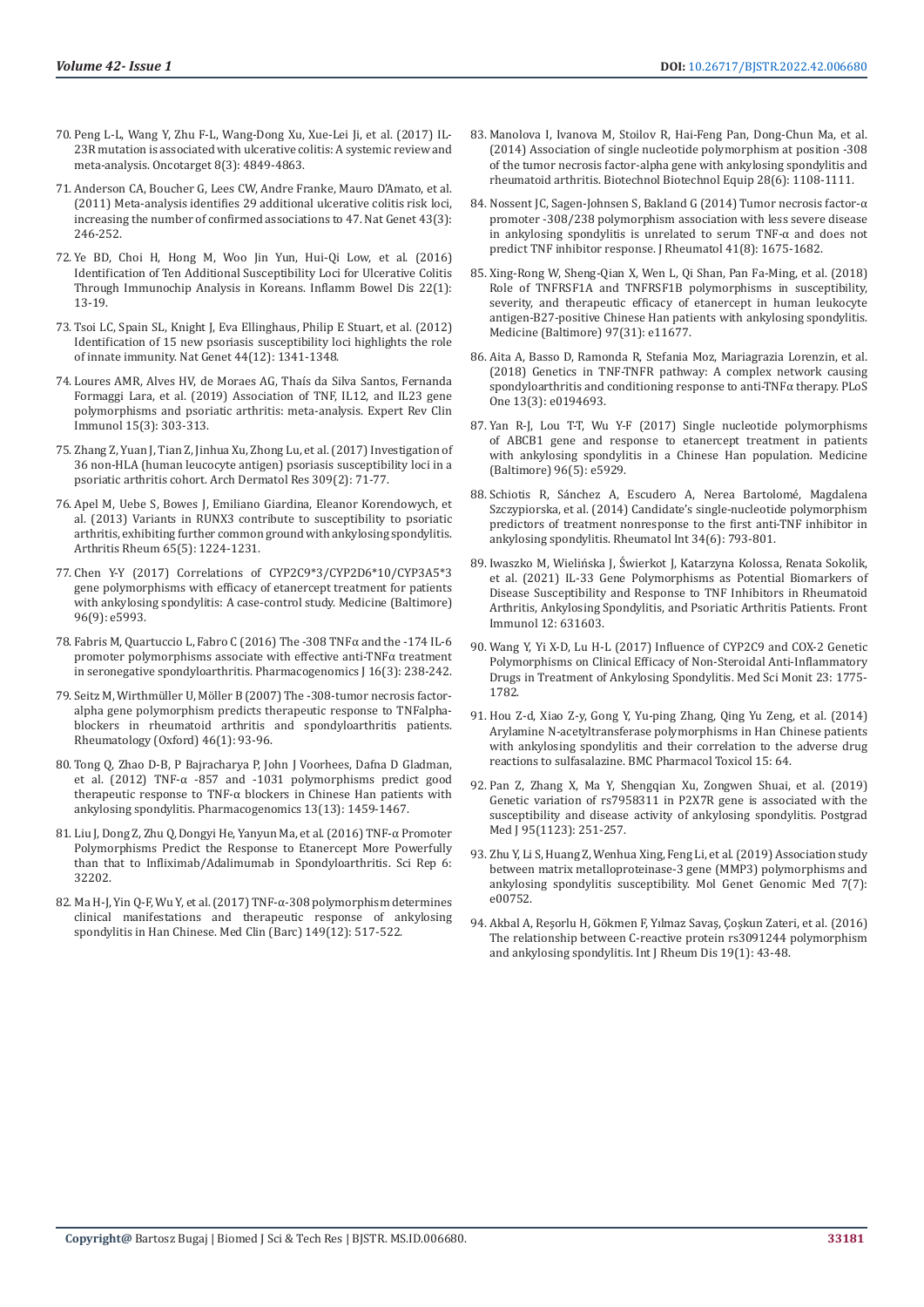- 70. [Peng L-L, Wang Y, Zhu F-L, Wang-Dong Xu, Xue-Lei Ji, et al. \(2017\) IL-](https://www.ncbi.nlm.nih.gov/pmc/articles/PMC5354875/)[23R mutation is associated with ulcerative colitis: A systemic review and](https://www.ncbi.nlm.nih.gov/pmc/articles/PMC5354875/)  [meta-analysis. Oncotarget 8\(3\): 4849-4863.](https://www.ncbi.nlm.nih.gov/pmc/articles/PMC5354875/)
- 71. [Anderson CA, Boucher G, Lees CW, Andre Franke, Mauro D'Amato, et al.](https://pubmed.ncbi.nlm.nih.gov/21297633/)  [\(2011\) Meta-analysis identifies 29 additional ulcerative colitis risk loci,](https://pubmed.ncbi.nlm.nih.gov/21297633/)  [increasing the number of confirmed associations to 47. Nat Genet 43\(3\):](https://pubmed.ncbi.nlm.nih.gov/21297633/)  [246-252.](https://pubmed.ncbi.nlm.nih.gov/21297633/)
- 72. [Ye BD, Choi H, Hong M, Woo Jin Yun, Hui-Qi Low, et al. \(2016\)](https://pubmed.ncbi.nlm.nih.gov/26398853/)  [Identification of Ten Additional Susceptibility Loci for Ulcerative Colitis](https://pubmed.ncbi.nlm.nih.gov/26398853/)  [Through Immunochip Analysis in Koreans. Inflamm Bowel Dis 22\(1\):](https://pubmed.ncbi.nlm.nih.gov/26398853/)  [13-19.](https://pubmed.ncbi.nlm.nih.gov/26398853/)
- 73. [Tsoi LC, Spain SL, Knight J, Eva Ellinghaus, Philip E Stuart, et al. \(2012\)](https://pubmed.ncbi.nlm.nih.gov/23143594/)  [Identification of 15 new psoriasis susceptibility loci highlights the role](https://pubmed.ncbi.nlm.nih.gov/23143594/)  [of innate immunity. Nat Genet 44\(12\): 1341-1348.](https://pubmed.ncbi.nlm.nih.gov/23143594/)
- 74. [Loures AMR, Alves HV, de Moraes AG, Thaís da Silva Santos, Fernanda](https://pubmed.ncbi.nlm.nih.gov/30584776/)  [Formaggi Lara, et al. \(2019\) Association of TNF, IL12, and IL23 gene](https://pubmed.ncbi.nlm.nih.gov/30584776/)  [polymorphisms and psoriatic arthritis: meta-analysis. Expert Rev Clin](https://pubmed.ncbi.nlm.nih.gov/30584776/)  [Immunol 15\(3\): 303-313.](https://pubmed.ncbi.nlm.nih.gov/30584776/)
- 75. [Zhang Z, Yuan J, Tian Z, Jinhua Xu, Zhong Lu, et al. \(2017\) Investigation of](https://pubmed.ncbi.nlm.nih.gov/27988891/)  [36 non-HLA \(human leucocyte antigen\) psoriasis susceptibility loci in a](https://pubmed.ncbi.nlm.nih.gov/27988891/)  [psoriatic arthritis cohort. Arch Dermatol Res 309\(2\): 71-77.](https://pubmed.ncbi.nlm.nih.gov/27988891/)
- 76. [Apel M, Uebe S, Bowes J, Emiliano Giardina, Eleanor Korendowych, et](https://pubmed.ncbi.nlm.nih.gov/23401011/)  [al. \(2013\) Variants in RUNX3 contribute to susceptibility to psoriatic](https://pubmed.ncbi.nlm.nih.gov/23401011/)  [arthritis, exhibiting further common ground with ankylosing spondylitis.](https://pubmed.ncbi.nlm.nih.gov/23401011/)  [Arthritis Rheum 65\(5\): 1224-1231.](https://pubmed.ncbi.nlm.nih.gov/23401011/)
- 77. [Chen Y-Y \(2017\) Correlations of CYP2C9\\*3/CYP2D6\\*10/CYP3A5\\*3](https://pubmed.ncbi.nlm.nih.gov/28248857/)  [gene polymorphisms with efficacy of etanercept treatment for patients](https://pubmed.ncbi.nlm.nih.gov/28248857/)  [with ankylosing spondylitis: A case-control study. Medicine \(Baltimore\)](https://pubmed.ncbi.nlm.nih.gov/28248857/)  [96\(9\): e5993.](https://pubmed.ncbi.nlm.nih.gov/28248857/)
- 78. Fabris M, Quartuccio L, Fabro C (2016) The -308 TNFα and the -174 IL-6 promoter polymorphisms associate with effective anti-TNFα treatment in seronegative spondyloarthritis. Pharmacogenomics J 16(3): 238-242.
- 79. Seitz M, Wirthm[üller U, Möller B \(2007\) The -308-tumor necrosis factor](https://pubmed.ncbi.nlm.nih.gov/16720636/)[alpha gene polymorphism predicts therapeutic response to TNFalpha](https://pubmed.ncbi.nlm.nih.gov/16720636/)[blockers in rheumatoid arthritis and spondyloarthritis patients.](https://pubmed.ncbi.nlm.nih.gov/16720636/)  [Rheumatology \(Oxford\) 46\(1\): 93-96.](https://pubmed.ncbi.nlm.nih.gov/16720636/)
- 80. [Tong Q, Zhao D-B, P Bajracharya P, John J Voorhees, Dafna D Gladman,](https://www.ncbi.nlm.nih.gov/pmc/articles/PMC3278539/)  [et al. \(2012\) TNF-α -857 and -1031 polymorphisms predict good](https://www.ncbi.nlm.nih.gov/pmc/articles/PMC3278539/)  [therapeutic response to TNF-α blockers in Chinese Han patients with](https://www.ncbi.nlm.nih.gov/pmc/articles/PMC3278539/)  [ankylosing spondylitis. Pharmacogenomics 13\(13\): 1459-1467.](https://www.ncbi.nlm.nih.gov/pmc/articles/PMC3278539/)
- 81. Liu J, Dong Z, Zhu Q, Dongyi He, Yanyun Ma, et al. (2016) TNF-α Promoter Polymorphisms Predict the Response to Etanercept More Powerfully than that to Infliximab/Adalimumab in Spondyloarthritis. Sci Rep 6: 32202.
- 82. Ma H-J, Yin Q-F, Wu Y, et al. (2017) TNF-α-308 polymorphism determines clinical manifestations and therapeutic response of ankylosing spondylitis in Han Chinese. Med Clin (Barc) 149(12): 517-522.
- 83. [Manolova I, Ivanova M, Stoilov R, Hai-Feng Pan, Dong-Chun Ma, et al.](https://www.ncbi.nlm.nih.gov/pmc/articles/PMC6816980/) [\(2014\) Association of single nucleotide polymorphism at position -308](https://www.ncbi.nlm.nih.gov/pmc/articles/PMC6816980/) [of the tumor necrosis factor-alpha gene with ankylosing spondylitis and](https://www.ncbi.nlm.nih.gov/pmc/articles/PMC6816980/) [rheumatoid arthritis. Biotechnol Biotechnol Equip 28\(6\): 1108-1111.](https://www.ncbi.nlm.nih.gov/pmc/articles/PMC6816980/)
- 84. Nossent JC, Sagen-Johnsen S, Bakland G (2014) Tumor necrosis factor-α promoter -308/238 polymorphism association with less severe disease in ankylosing spondylitis is unrelated to serum TNF-α and does not predict TNF inhibitor response. J Rheumatol 41(8): 1675-1682.
- 85. [Xing-Rong W, Sheng-Qian X, Wen L, Qi Shan, Pan Fa-Ming, et al. \(2018\)](https://pubmed.ncbi.nlm.nih.gov/30075559/) [Role of TNFRSF1A and TNFRSF1B polymorphisms in susceptibility,](https://pubmed.ncbi.nlm.nih.gov/30075559/) [severity, and therapeutic efficacy of etanercept in human leukocyte](https://pubmed.ncbi.nlm.nih.gov/30075559/) [antigen-B27-positive Chinese Han patients with ankylosing spondylitis.](https://pubmed.ncbi.nlm.nih.gov/30075559/) [Medicine \(Baltimore\) 97\(31\): e11677.](https://pubmed.ncbi.nlm.nih.gov/30075559/)
- 86. Aita A, Basso D, Ramonda R, Stefania Moz, Mariagrazia Lorenzin, et al. (2018) Genetics in TNF-TNFR pathway: A complex network causing spondyloarthritis and conditioning response to anti-TNFα therapy. PLoS One 13(3): e0194693.
- 87. [Yan R-J, Lou T-T, Wu Y-F \(2017\) Single nucleotide polymorphisms](https://pubmed.ncbi.nlm.nih.gov/28151874/) [of ABCB1 gene and response to etanercept treatment in patients](https://pubmed.ncbi.nlm.nih.gov/28151874/) [with ankylosing spondylitis in a Chinese Han population. Medicine](https://pubmed.ncbi.nlm.nih.gov/28151874/) [\(Baltimore\) 96\(5\): e5929.](https://pubmed.ncbi.nlm.nih.gov/28151874/)
- 88. [Schiotis R, Sánchez A, Escudero A, Nerea Bartolomé, Magdalena](https://pubmed.ncbi.nlm.nih.gov/24337767/) [Szczypiorska, et al. \(2014\) Candidate's single-nucleotide polymorphism](https://pubmed.ncbi.nlm.nih.gov/24337767/) [predictors of treatment nonresponse to the first anti-TNF inhibitor in](https://pubmed.ncbi.nlm.nih.gov/24337767/) [ankylosing spondylitis. Rheumatol Int 34\(6\): 793-801.](https://pubmed.ncbi.nlm.nih.gov/24337767/)
- 89. [Iwaszko M, Wielińska J, Świerkot J, Katarzyna Kolossa, Renata Sokolik,](https://pubmed.ncbi.nlm.nih.gov/34177886/) [et al. \(2021\) IL-33 Gene Polymorphisms as Potential Biomarkers of](https://pubmed.ncbi.nlm.nih.gov/34177886/) [Disease Susceptibility and Response to TNF Inhibitors in Rheumatoid](https://pubmed.ncbi.nlm.nih.gov/34177886/) [Arthritis, Ankylosing Spondylitis, and Psoriatic Arthritis Patients. Front](https://pubmed.ncbi.nlm.nih.gov/34177886/) [Immunol 12: 631603.](https://pubmed.ncbi.nlm.nih.gov/34177886/)
- 90. [Wang Y, Yi X-D, Lu H-L \(2017\) Influence of CYP2C9 and COX-2 Genetic](https://pubmed.ncbi.nlm.nih.gov/28403136/) [Polymorphisms on Clinical Efficacy of Non-Steroidal Anti-Inflammatory](https://pubmed.ncbi.nlm.nih.gov/28403136/) [Drugs in Treatment of Ankylosing Spondylitis. Med Sci Monit 23: 1775-](https://pubmed.ncbi.nlm.nih.gov/28403136/) [1782.](https://pubmed.ncbi.nlm.nih.gov/28403136/)
- 91. [Hou Z-d, Xiao Z-y, Gong Y, Yu-ping Zhang, Qing Yu Zeng, et al. \(2014\)](https://pubmed.ncbi.nlm.nih.gov/25413361/) [Arylamine N-acetyltransferase polymorphisms in Han Chinese patients](https://pubmed.ncbi.nlm.nih.gov/25413361/) [with ankylosing spondylitis and their correlation to the adverse drug](https://pubmed.ncbi.nlm.nih.gov/25413361/) [reactions to sulfasalazine. BMC Pharmacol Toxicol 15: 64.](https://pubmed.ncbi.nlm.nih.gov/25413361/)
- 92. [Pan Z, Zhang X, Ma Y, Shengqian Xu, Zongwen Shuai, et al. \(2019\)](https://pubmed.ncbi.nlm.nih.gov/30992418/) [Genetic variation of rs7958311 in P2X7R gene is associated with the](https://pubmed.ncbi.nlm.nih.gov/30992418/) [susceptibility and disease activity of ankylosing spondylitis. Postgrad](https://pubmed.ncbi.nlm.nih.gov/30992418/) [Med J 95\(1123\): 251-257.](https://pubmed.ncbi.nlm.nih.gov/30992418/)
- 93. [Zhu Y, Li S, Huang Z, Wenhua Xing, Feng Li, et al. \(2019\) Association study](https://www.ncbi.nlm.nih.gov/pmc/articles/PMC6625098/) [between matrix metalloproteinase-3 gene \(MMP3\) polymorphisms and](https://www.ncbi.nlm.nih.gov/pmc/articles/PMC6625098/) [ankylosing spondylitis susceptibility. Mol Genet Genomic Med 7\(7\):](https://www.ncbi.nlm.nih.gov/pmc/articles/PMC6625098/) [e00752.](https://www.ncbi.nlm.nih.gov/pmc/articles/PMC6625098/)
- 94. [Akbal A, Reşorlu H, Gökmen F, Yılmaz Savaş, Çoşkun Zateri, et al. \(2016\)](https://pubmed.ncbi.nlm.nih.gov/26480896/) [The relationship between C-reactive protein rs3091244 polymorphism](https://pubmed.ncbi.nlm.nih.gov/26480896/) [and ankylosing spondylitis. Int J Rheum Dis 19\(1\): 43-48.](https://pubmed.ncbi.nlm.nih.gov/26480896/)